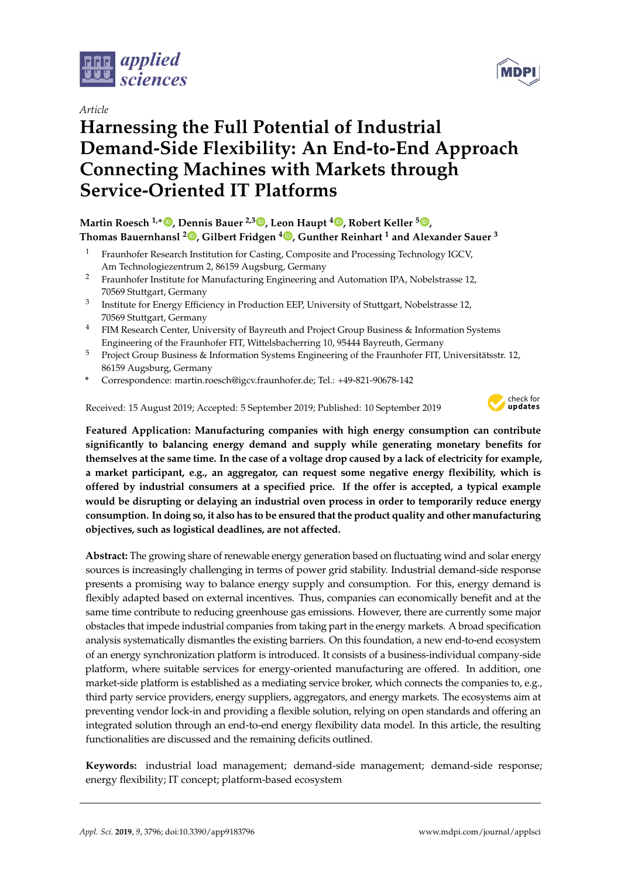

*Article*

# **Harnessing the Full Potential of Industrial Demand-Side Flexibility: An End-to-End Approach Connecting Machines with Markets through Service-Oriented IT Platforms**



- <sup>1</sup> Fraunhofer Research Institution for Casting, Composite and Processing Technology IGCV, Am Technologiezentrum 2, 86159 Augsburg, Germany
- <sup>2</sup> Fraunhofer Institute for Manufacturing Engineering and Automation IPA, Nobelstrasse 12, 70569 Stuttgart, Germany
- 3 Institute for Energy Efficiency in Production EEP, University of Stuttgart, Nobelstrasse 12, 70569 Stuttgart, Germany
- <sup>4</sup> FIM Research Center, University of Bayreuth and Project Group Business & Information Systems Engineering of the Fraunhofer FIT, Wittelsbacherring 10, 95444 Bayreuth, Germany
- <sup>5</sup> Project Group Business & Information Systems Engineering of the Fraunhofer FIT, Universitätsstr. 12, 86159 Augsburg, Germany
- **\*** Correspondence: martin.roesch@igcv.fraunhofer.de; Tel.: +49-821-90678-142

Received: 15 August 2019; Accepted: 5 September 2019; Published: 10 September 2019



**Featured Application: Manufacturing companies with high energy consumption can contribute significantly to balancing energy demand and supply while generating monetary benefits for themselves at the same time. In the case of a voltage drop caused by a lack of electricity for example, a market participant, e.g., an aggregator, can request some negative energy flexibility, which is offered by industrial consumers at a specified price. If the offer is accepted, a typical example would be disrupting or delaying an industrial oven process in order to temporarily reduce energy consumption. In doing so, it also has to be ensured that the product quality and other manufacturing objectives, such as logistical deadlines, are not affected.**

**Abstract:** The growing share of renewable energy generation based on fluctuating wind and solar energy sources is increasingly challenging in terms of power grid stability. Industrial demand-side response presents a promising way to balance energy supply and consumption. For this, energy demand is flexibly adapted based on external incentives. Thus, companies can economically benefit and at the same time contribute to reducing greenhouse gas emissions. However, there are currently some major obstacles that impede industrial companies from taking part in the energy markets. A broad specification analysis systematically dismantles the existing barriers. On this foundation, a new end-to-end ecosystem of an energy synchronization platform is introduced. It consists of a business-individual company-side platform, where suitable services for energy-oriented manufacturing are offered. In addition, one market-side platform is established as a mediating service broker, which connects the companies to, e.g., third party service providers, energy suppliers, aggregators, and energy markets. The ecosystems aim at preventing vendor lock-in and providing a flexible solution, relying on open standards and offering an integrated solution through an end-to-end energy flexibility data model. In this article, the resulting functionalities are discussed and the remaining deficits outlined.

**Keywords:** industrial load management; demand-side management; demand-side response; energy flexibility; IT concept; platform-based ecosystem

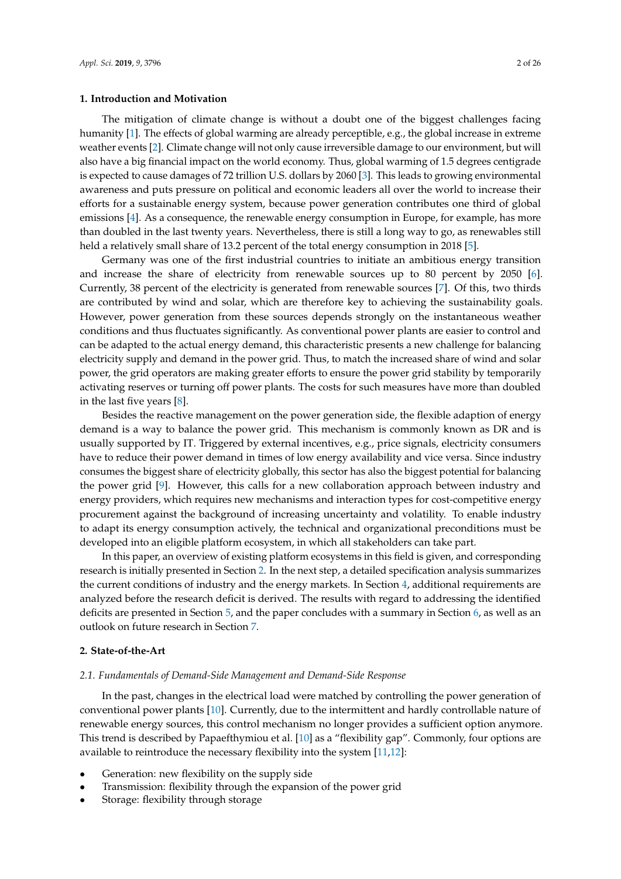## <span id="page-1-1"></span>**1. Introduction and Motivation**

The mitigation of climate change is without a doubt one of the biggest challenges facing humanity [\[1\]](#page-22-0). The effects of global warming are already perceptible, e.g., the global increase in extreme weather events [\[2\]](#page-22-1). Climate change will not only cause irreversible damage to our environment, but will also have a big financial impact on the world economy. Thus, global warming of 1.5 degrees centigrade is expected to cause damages of 72 trillion U.S. dollars by 2060 [\[3\]](#page-22-2). This leads to growing environmental awareness and puts pressure on political and economic leaders all over the world to increase their efforts for a sustainable energy system, because power generation contributes one third of global emissions [\[4\]](#page-22-3). As a consequence, the renewable energy consumption in Europe, for example, has more than doubled in the last twenty years. Nevertheless, there is still a long way to go, as renewables still held a relatively small share of 13.2 percent of the total energy consumption in 2018 [\[5\]](#page-22-4).

Germany was one of the first industrial countries to initiate an ambitious energy transition and increase the share of electricity from renewable sources up to 80 percent by 2050 [\[6\]](#page-22-5). Currently, 38 percent of the electricity is generated from renewable sources [\[7\]](#page-22-6). Of this, two thirds are contributed by wind and solar, which are therefore key to achieving the sustainability goals. However, power generation from these sources depends strongly on the instantaneous weather conditions and thus fluctuates significantly. As conventional power plants are easier to control and can be adapted to the actual energy demand, this characteristic presents a new challenge for balancing electricity supply and demand in the power grid. Thus, to match the increased share of wind and solar power, the grid operators are making greater efforts to ensure the power grid stability by temporarily activating reserves or turning off power plants. The costs for such measures have more than doubled in the last five years [\[8\]](#page-22-7).

Besides the reactive management on the power generation side, the flexible adaption of energy demand is a way to balance the power grid. This mechanism is commonly known as DR and is usually supported by IT. Triggered by external incentives, e.g., price signals, electricity consumers have to reduce their power demand in times of low energy availability and vice versa. Since industry consumes the biggest share of electricity globally, this sector has also the biggest potential for balancing the power grid [\[9\]](#page-22-8). However, this calls for a new collaboration approach between industry and energy providers, which requires new mechanisms and interaction types for cost-competitive energy procurement against the background of increasing uncertainty and volatility. To enable industry to adapt its energy consumption actively, the technical and organizational preconditions must be developed into an eligible platform ecosystem, in which all stakeholders can take part.

In this paper, an overview of existing platform ecosystems in this field is given, and corresponding research is initially presented in Section [2.](#page-1-0) In the next step, a detailed specification analysis summarizes the current conditions of industry and the energy markets. In Section [4,](#page-8-0) additional requirements are analyzed before the research deficit is derived. The results with regard to addressing the identified deficits are presented in Section [5,](#page-11-0) and the paper concludes with a summary in Section [6,](#page-19-0) as well as an outlook on future research in Section [7.](#page-20-0)

## <span id="page-1-0"></span>**2. State-of-the-Art**

#### *2.1. Fundamentals of Demand-Side Management and Demand-Side Response*

In the past, changes in the electrical load were matched by controlling the power generation of conventional power plants [\[10\]](#page-22-9). Currently, due to the intermittent and hardly controllable nature of renewable energy sources, this control mechanism no longer provides a sufficient option anymore. This trend is described by Papaefthymiou et al. [\[10\]](#page-22-9) as a "flexibility gap". Commonly, four options are available to reintroduce the necessary flexibility into the system [\[11](#page-22-10)[,12\]](#page-22-11):

- Generation: new flexibility on the supply side
- Transmission: flexibility through the expansion of the power grid
- Storage: flexibility through storage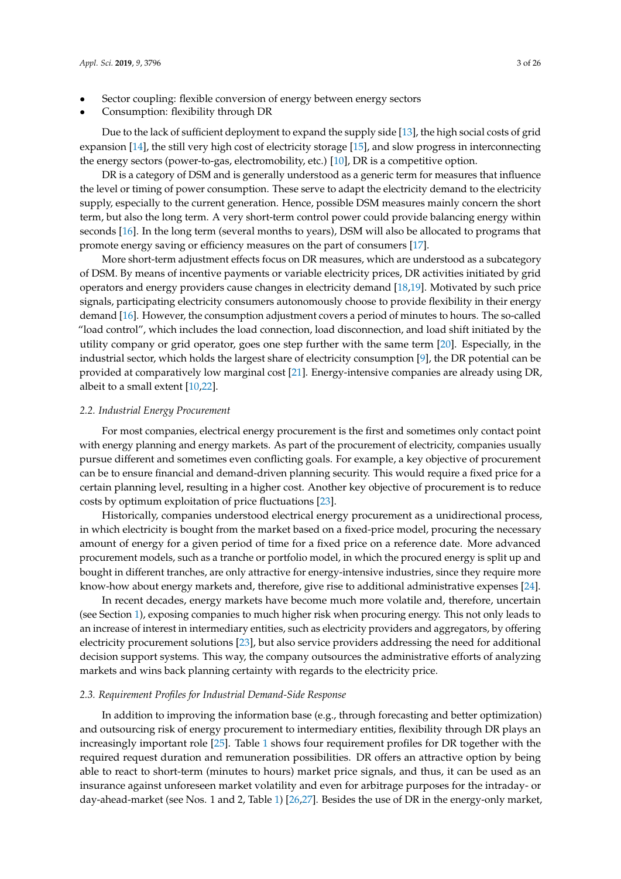- Sector coupling: flexible conversion of energy between energy sectors
- Consumption: flexibility through DR

Due to the lack of sufficient deployment to expand the supply side [\[13\]](#page-22-12), the high social costs of grid expansion [\[14\]](#page-22-13), the still very high cost of electricity storage [\[15\]](#page-22-14), and slow progress in interconnecting the energy sectors (power-to-gas, electromobility, etc.) [\[10\]](#page-22-9), DR is a competitive option.

DR is a category of DSM and is generally understood as a generic term for measures that influence the level or timing of power consumption. These serve to adapt the electricity demand to the electricity supply, especially to the current generation. Hence, possible DSM measures mainly concern the short term, but also the long term. A very short-term control power could provide balancing energy within seconds [\[16\]](#page-22-15). In the long term (several months to years), DSM will also be allocated to programs that promote energy saving or efficiency measures on the part of consumers [\[17\]](#page-22-16).

More short-term adjustment effects focus on DR measures, which are understood as a subcategory of DSM. By means of incentive payments or variable electricity prices, DR activities initiated by grid operators and energy providers cause changes in electricity demand [\[18,](#page-22-17)[19\]](#page-22-18). Motivated by such price signals, participating electricity consumers autonomously choose to provide flexibility in their energy demand [\[16\]](#page-22-15). However, the consumption adjustment covers a period of minutes to hours. The so-called "load control", which includes the load connection, load disconnection, and load shift initiated by the utility company or grid operator, goes one step further with the same term [\[20\]](#page-22-19). Especially, in the industrial sector, which holds the largest share of electricity consumption [\[9\]](#page-22-8), the DR potential can be provided at comparatively low marginal cost [\[21\]](#page-22-20). Energy-intensive companies are already using DR, albeit to a small extent  $[10,22]$  $[10,22]$ .

## <span id="page-2-0"></span>*2.2. Industrial Energy Procurement*

For most companies, electrical energy procurement is the first and sometimes only contact point with energy planning and energy markets. As part of the procurement of electricity, companies usually pursue different and sometimes even conflicting goals. For example, a key objective of procurement can be to ensure financial and demand-driven planning security. This would require a fixed price for a certain planning level, resulting in a higher cost. Another key objective of procurement is to reduce costs by optimum exploitation of price fluctuations [\[23\]](#page-23-0).

Historically, companies understood electrical energy procurement as a unidirectional process, in which electricity is bought from the market based on a fixed-price model, procuring the necessary amount of energy for a given period of time for a fixed price on a reference date. More advanced procurement models, such as a tranche or portfolio model, in which the procured energy is split up and bought in different tranches, are only attractive for energy-intensive industries, since they require more know-how about energy markets and, therefore, give rise to additional administrative expenses [\[24\]](#page-23-1).

In recent decades, energy markets have become much more volatile and, therefore, uncertain (see Section [1\)](#page-1-1), exposing companies to much higher risk when procuring energy. This not only leads to an increase of interest in intermediary entities, such as electricity providers and aggregators, by offering electricity procurement solutions [\[23\]](#page-23-0), but also service providers addressing the need for additional decision support systems. This way, the company outsources the administrative efforts of analyzing markets and wins back planning certainty with regards to the electricity price.

#### *2.3. Requirement Profiles for Industrial Demand-Side Response*

In addition to improving the information base (e.g., through forecasting and better optimization) and outsourcing risk of energy procurement to intermediary entities, flexibility through DR plays an increasingly important role [\[25\]](#page-23-2). Table [1](#page-3-0) shows four requirement profiles for DR together with the required request duration and remuneration possibilities. DR offers an attractive option by being able to react to short-term (minutes to hours) market price signals, and thus, it can be used as an insurance against unforeseen market volatility and even for arbitrage purposes for the intraday- or day-ahead-market (see Nos. 1 and 2, Table [1\)](#page-3-0) [\[26,](#page-23-3)[27\]](#page-23-4). Besides the use of DR in the energy-only market,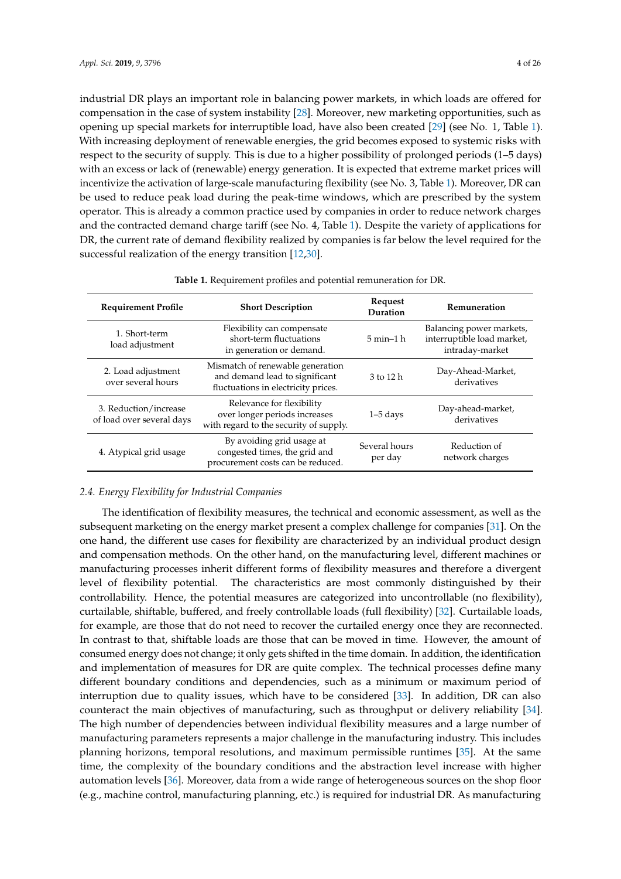industrial DR plays an important role in balancing power markets, in which loads are offered for compensation in the case of system instability [\[28\]](#page-23-5). Moreover, new marketing opportunities, such as opening up special markets for interruptible load, have also been created [\[29\]](#page-23-6) (see No. 1, Table [1\)](#page-3-0). With increasing deployment of renewable energies, the grid becomes exposed to systemic risks with respect to the security of supply. This is due to a higher possibility of prolonged periods (1–5 days) with an excess or lack of (renewable) energy generation. It is expected that extreme market prices will incentivize the activation of large-scale manufacturing flexibility (see No. 3, Table [1\)](#page-3-0). Moreover, DR can be used to reduce peak load during the peak-time windows, which are prescribed by the system operator. This is already a common practice used by companies in order to reduce network charges and the contracted demand charge tariff (see No. 4, Table [1\)](#page-3-0). Despite the variety of applications for DR, the current rate of demand flexibility realized by companies is far below the level required for the successful realization of the energy transition [\[12,](#page-22-11)[30\]](#page-23-7).

<span id="page-3-0"></span>

| <b>Requirement Profile</b>                         | <b>Short Description</b>                                                                                  | Request<br>Duration           | Remuneration                                                              |
|----------------------------------------------------|-----------------------------------------------------------------------------------------------------------|-------------------------------|---------------------------------------------------------------------------|
| 1. Short-term<br>load adjustment                   | Flexibility can compensate<br>short-term fluctuations<br>in generation or demand.                         | $5 \text{ min} - 1 \text{ h}$ | Balancing power markets,<br>interruptible load market,<br>intraday-market |
| 2. Load adjustment<br>over several hours           | Mismatch of renewable generation<br>and demand lead to significant<br>fluctuations in electricity prices. | 3 to 12 h                     | Day-Ahead-Market,<br>derivatives                                          |
| 3. Reduction/increase<br>of load over several days | Relevance for flexibility<br>over longer periods increases<br>with regard to the security of supply.      | $1-5$ days                    | Day-ahead-market,<br>derivatives                                          |
| 4. Atypical grid usage                             | By avoiding grid usage at<br>congested times, the grid and<br>procurement costs can be reduced.           | Several hours<br>per day      | Reduction of<br>network charges                                           |

**Table 1.** Requirement profiles and potential remuneration for DR.

#### *2.4. Energy Flexibility for Industrial Companies*

The identification of flexibility measures, the technical and economic assessment, as well as the subsequent marketing on the energy market present a complex challenge for companies [\[31\]](#page-23-8). On the one hand, the different use cases for flexibility are characterized by an individual product design and compensation methods. On the other hand, on the manufacturing level, different machines or manufacturing processes inherit different forms of flexibility measures and therefore a divergent level of flexibility potential. The characteristics are most commonly distinguished by their controllability. Hence, the potential measures are categorized into uncontrollable (no flexibility), curtailable, shiftable, buffered, and freely controllable loads (full flexibility) [\[32\]](#page-23-9). Curtailable loads, for example, are those that do not need to recover the curtailed energy once they are reconnected. In contrast to that, shiftable loads are those that can be moved in time. However, the amount of consumed energy does not change; it only gets shifted in the time domain. In addition, the identification and implementation of measures for DR are quite complex. The technical processes define many different boundary conditions and dependencies, such as a minimum or maximum period of interruption due to quality issues, which have to be considered [\[33\]](#page-23-10). In addition, DR can also counteract the main objectives of manufacturing, such as throughput or delivery reliability [\[34\]](#page-23-11). The high number of dependencies between individual flexibility measures and a large number of manufacturing parameters represents a major challenge in the manufacturing industry. This includes planning horizons, temporal resolutions, and maximum permissible runtimes [\[35\]](#page-23-12). At the same time, the complexity of the boundary conditions and the abstraction level increase with higher automation levels [\[36\]](#page-23-13). Moreover, data from a wide range of heterogeneous sources on the shop floor (e.g., machine control, manufacturing planning, etc.) is required for industrial DR. As manufacturing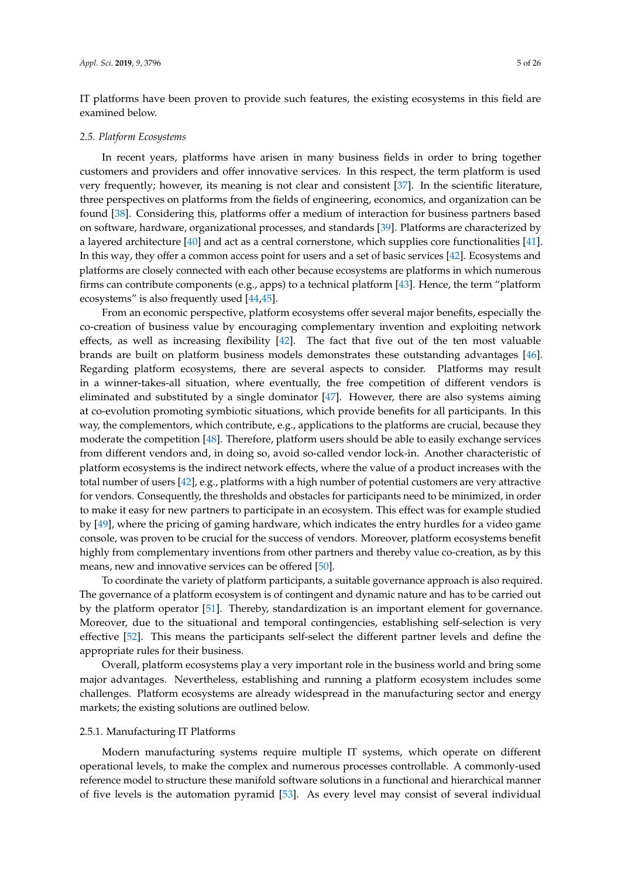IT platforms have been proven to provide such features, the existing ecosystems in this field are examined below.

#### <span id="page-4-1"></span>*2.5. Platform Ecosystems*

In recent years, platforms have arisen in many business fields in order to bring together customers and providers and offer innovative services. In this respect, the term platform is used very frequently; however, its meaning is not clear and consistent [\[37\]](#page-23-14). In the scientific literature, three perspectives on platforms from the fields of engineering, economics, and organization can be found [\[38\]](#page-23-15). Considering this, platforms offer a medium of interaction for business partners based on software, hardware, organizational processes, and standards [\[39\]](#page-23-16). Platforms are characterized by a layered architecture [\[40\]](#page-23-17) and act as a central cornerstone, which supplies core functionalities [\[41\]](#page-23-18). In this way, they offer a common access point for users and a set of basic services [\[42\]](#page-23-19). Ecosystems and platforms are closely connected with each other because ecosystems are platforms in which numerous firms can contribute components (e.g., apps) to a technical platform [\[43\]](#page-23-20). Hence, the term "platform ecosystems" is also frequently used [\[44](#page-23-21)[,45\]](#page-23-22).

From an economic perspective, platform ecosystems offer several major benefits, especially the co-creation of business value by encouraging complementary invention and exploiting network effects, as well as increasing flexibility [\[42\]](#page-23-19). The fact that five out of the ten most valuable brands are built on platform business models demonstrates these outstanding advantages [\[46\]](#page-23-23). Regarding platform ecosystems, there are several aspects to consider. Platforms may result in a winner-takes-all situation, where eventually, the free competition of different vendors is eliminated and substituted by a single dominator [\[47\]](#page-23-24). However, there are also systems aiming at co-evolution promoting symbiotic situations, which provide benefits for all participants. In this way, the complementors, which contribute, e.g., applications to the platforms are crucial, because they moderate the competition [\[48\]](#page-24-0). Therefore, platform users should be able to easily exchange services from different vendors and, in doing so, avoid so-called vendor lock-in. Another characteristic of platform ecosystems is the indirect network effects, where the value of a product increases with the total number of users [\[42\]](#page-23-19), e.g., platforms with a high number of potential customers are very attractive for vendors. Consequently, the thresholds and obstacles for participants need to be minimized, in order to make it easy for new partners to participate in an ecosystem. This effect was for example studied by [\[49\]](#page-24-1), where the pricing of gaming hardware, which indicates the entry hurdles for a video game console, was proven to be crucial for the success of vendors. Moreover, platform ecosystems benefit highly from complementary inventions from other partners and thereby value co-creation, as by this means, new and innovative services can be offered [\[50\]](#page-24-2).

To coordinate the variety of platform participants, a suitable governance approach is also required. The governance of a platform ecosystem is of contingent and dynamic nature and has to be carried out by the platform operator [\[51\]](#page-24-3). Thereby, standardization is an important element for governance. Moreover, due to the situational and temporal contingencies, establishing self-selection is very effective [\[52\]](#page-24-4). This means the participants self-select the different partner levels and define the appropriate rules for their business.

Overall, platform ecosystems play a very important role in the business world and bring some major advantages. Nevertheless, establishing and running a platform ecosystem includes some challenges. Platform ecosystems are already widespread in the manufacturing sector and energy markets; the existing solutions are outlined below.

#### <span id="page-4-0"></span>2.5.1. Manufacturing IT Platforms

Modern manufacturing systems require multiple IT systems, which operate on different operational levels, to make the complex and numerous processes controllable. A commonly-used reference model to structure these manifold software solutions in a functional and hierarchical manner of five levels is the automation pyramid [\[53\]](#page-24-5). As every level may consist of several individual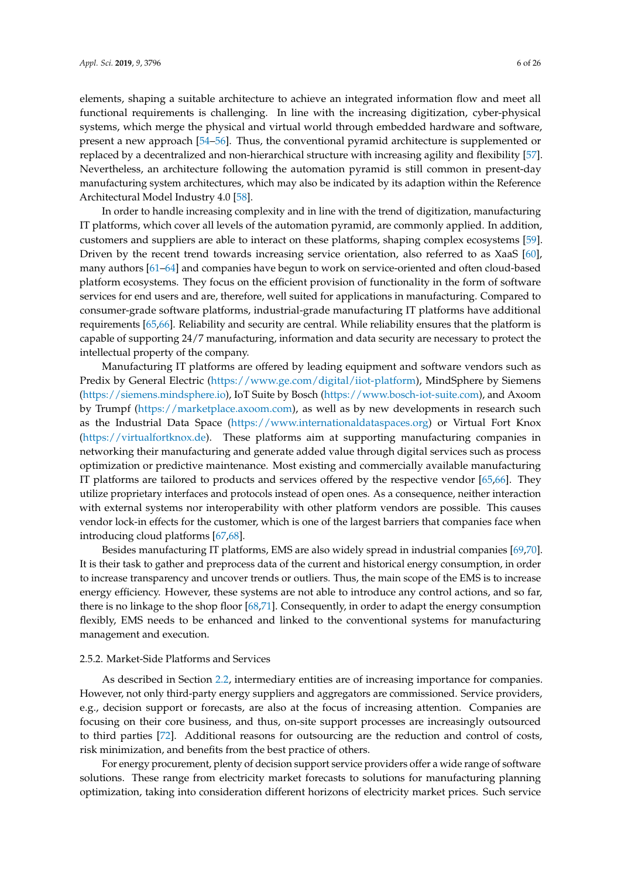elements, shaping a suitable architecture to achieve an integrated information flow and meet all functional requirements is challenging. In line with the increasing digitization, cyber-physical systems, which merge the physical and virtual world through embedded hardware and software, present a new approach [\[54](#page-24-6)[–56\]](#page-24-7). Thus, the conventional pyramid architecture is supplemented or replaced by a decentralized and non-hierarchical structure with increasing agility and flexibility [\[57\]](#page-24-8). Nevertheless, an architecture following the automation pyramid is still common in present-day manufacturing system architectures, which may also be indicated by its adaption within the Reference Architectural Model Industry 4.0 [\[58\]](#page-24-9).

In order to handle increasing complexity and in line with the trend of digitization, manufacturing IT platforms, which cover all levels of the automation pyramid, are commonly applied. In addition, customers and suppliers are able to interact on these platforms, shaping complex ecosystems [\[59\]](#page-24-10). Driven by the recent trend towards increasing service orientation, also referred to as XaaS [\[60\]](#page-24-11), many authors [\[61](#page-24-12)[–64\]](#page-24-13) and companies have begun to work on service-oriented and often cloud-based platform ecosystems. They focus on the efficient provision of functionality in the form of software services for end users and are, therefore, well suited for applications in manufacturing. Compared to consumer-grade software platforms, industrial-grade manufacturing IT platforms have additional requirements [\[65,](#page-24-14)[66\]](#page-24-15). Reliability and security are central. While reliability ensures that the platform is capable of supporting 24/7 manufacturing, information and data security are necessary to protect the intellectual property of the company.

Manufacturing IT platforms are offered by leading equipment and software vendors such as Predix by General Electric [\(https://www.ge.com/digital/iiot-platform\)](https://www.ge.com/digital/iiot-platform), MindSphere by Siemens [\(https://siemens.mindsphere.io\)](https://siemens.mindsphere.io), IoT Suite by Bosch [\(https://www.bosch-iot-suite.com\)](https://www.bosch-iot-suite.com), and Axoom by Trumpf [\(https://marketplace.axoom.com\)](https://marketplace.axoom.com), as well as by new developments in research such as the Industrial Data Space [\(https://www.internationaldataspaces.org\)](https://www.internationaldataspaces.org) or Virtual Fort Knox [\(https://virtualfortknox.de\)](https://virtualfortknox.de). These platforms aim at supporting manufacturing companies in networking their manufacturing and generate added value through digital services such as process optimization or predictive maintenance. Most existing and commercially available manufacturing IT platforms are tailored to products and services offered by the respective vendor [\[65](#page-24-14)[,66\]](#page-24-15). They utilize proprietary interfaces and protocols instead of open ones. As a consequence, neither interaction with external systems nor interoperability with other platform vendors are possible. This causes vendor lock-in effects for the customer, which is one of the largest barriers that companies face when introducing cloud platforms [\[67](#page-24-16)[,68\]](#page-24-17).

Besides manufacturing IT platforms, EMS are also widely spread in industrial companies [\[69](#page-24-18)[,70\]](#page-24-19). It is their task to gather and preprocess data of the current and historical energy consumption, in order to increase transparency and uncover trends or outliers. Thus, the main scope of the EMS is to increase energy efficiency. However, these systems are not able to introduce any control actions, and so far, there is no linkage to the shop floor [\[68,](#page-24-17)[71\]](#page-25-0). Consequently, in order to adapt the energy consumption flexibly, EMS needs to be enhanced and linked to the conventional systems for manufacturing management and execution.

#### 2.5.2. Market-Side Platforms and Services

As described in Section [2.2,](#page-2-0) intermediary entities are of increasing importance for companies. However, not only third-party energy suppliers and aggregators are commissioned. Service providers, e.g., decision support or forecasts, are also at the focus of increasing attention. Companies are focusing on their core business, and thus, on-site support processes are increasingly outsourced to third parties [\[72\]](#page-25-1). Additional reasons for outsourcing are the reduction and control of costs, risk minimization, and benefits from the best practice of others.

For energy procurement, plenty of decision support service providers offer a wide range of software solutions. These range from electricity market forecasts to solutions for manufacturing planning optimization, taking into consideration different horizons of electricity market prices. Such service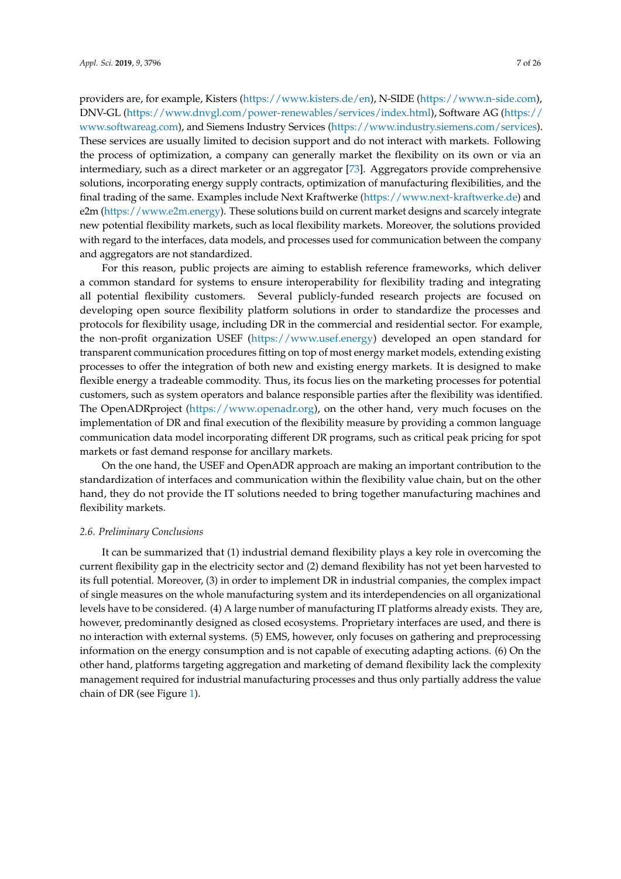providers are, for example, Kisters [\(https://www.kisters.de/en\)](https://www.kisters.de/en), N-SIDE [\(https://www.n-side.com\)](https://www.n-side.com), DNV-GL [\(https://www.dnvgl.com/power-renewables/services/index.html\)](https://www.dnvgl.com/power-renewables/services/index.html), Software AG [\(https://](https://www.softwareag.com) [www.softwareag.com\)](https://www.softwareag.com), and Siemens Industry Services [\(https://www.industry.siemens.com/services\)](https://www.industry.siemens.com/services). These services are usually limited to decision support and do not interact with markets. Following the process of optimization, a company can generally market the flexibility on its own or via an intermediary, such as a direct marketer or an aggregator [\[73\]](#page-25-2). Aggregators provide comprehensive solutions, incorporating energy supply contracts, optimization of manufacturing flexibilities, and the final trading of the same. Examples include Next Kraftwerke [\(https://www.next-kraftwerke.de\)](https://www.next-kraftwerke.de) and e2m [\(https://www.e2m.energy\)](https://www.e2m.energy). These solutions build on current market designs and scarcely integrate new potential flexibility markets, such as local flexibility markets. Moreover, the solutions provided with regard to the interfaces, data models, and processes used for communication between the company and aggregators are not standardized.

For this reason, public projects are aiming to establish reference frameworks, which deliver a common standard for systems to ensure interoperability for flexibility trading and integrating all potential flexibility customers. Several publicly-funded research projects are focused on developing open source flexibility platform solutions in order to standardize the processes and protocols for flexibility usage, including DR in the commercial and residential sector. For example, the non-profit organization USEF [\(https://www.usef.energy\)](https://www.usef.energy) developed an open standard for transparent communication procedures fitting on top of most energy market models, extending existing processes to offer the integration of both new and existing energy markets. It is designed to make flexible energy a tradeable commodity. Thus, its focus lies on the marketing processes for potential customers, such as system operators and balance responsible parties after the flexibility was identified. The OpenADRproject [\(https://www.openadr.org\)](https://www.openadr.org), on the other hand, very much focuses on the implementation of DR and final execution of the flexibility measure by providing a common language communication data model incorporating different DR programs, such as critical peak pricing for spot markets or fast demand response for ancillary markets.

On the one hand, the USEF and OpenADR approach are making an important contribution to the standardization of interfaces and communication within the flexibility value chain, but on the other hand, they do not provide the IT solutions needed to bring together manufacturing machines and flexibility markets.

#### *2.6. Preliminary Conclusions*

It can be summarized that (1) industrial demand flexibility plays a key role in overcoming the current flexibility gap in the electricity sector and (2) demand flexibility has not yet been harvested to its full potential. Moreover, (3) in order to implement DR in industrial companies, the complex impact of single measures on the whole manufacturing system and its interdependencies on all organizational levels have to be considered. (4) A large number of manufacturing IT platforms already exists. They are, however, predominantly designed as closed ecosystems. Proprietary interfaces are used, and there is no interaction with external systems. (5) EMS, however, only focuses on gathering and preprocessing information on the energy consumption and is not capable of executing adapting actions. (6) On the other hand, platforms targeting aggregation and marketing of demand flexibility lack the complexity management required for industrial manufacturing processes and thus only partially address the value chain of DR (see Figure [1\)](#page-7-0).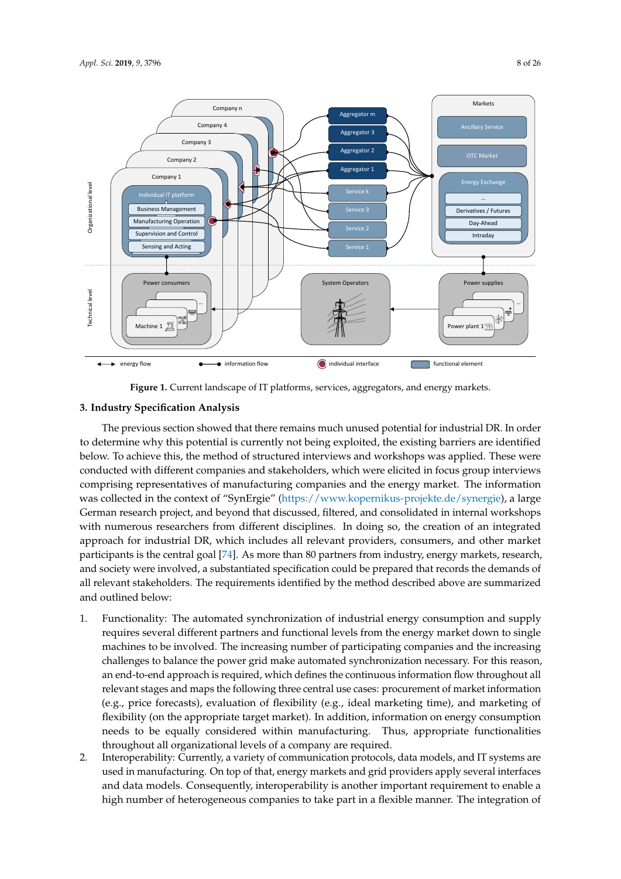<span id="page-7-0"></span>

energy flow **e** information flow **individual interface** functional element

**Figure 1.** Current landscape of IT platforms, services, aggregators, and energy markets.

## <span id="page-7-1"></span>**3. Industry Specification Analysis**

The previous section showed that there remains much unused potential for industrial DR. In order to determine why this potential is currently not being exploited, the existing barriers are identified below. To achieve this, the method of structured interviews and workshops was applied. These were conducted with different companies and stakeholders, which were elicited in focus group interviews comprising representatives of manufacturing companies and the energy market. The information was collected in the context of "SynErgie" [\(https://www.kopernikus-projekte.de/synergie\)](https://www.kopernikus-projekte.de/synergie), a large German research project, and beyond that discussed, filtered, and consolidated in internal workshops with numerous researchers from different disciplines. In doing so, the creation of an integrated approach for industrial DR, which includes all relevant providers, consumers, and other market participants is the central goal [\[74\]](#page-25-3). As more than 80 partners from industry, energy markets, research, and society were involved, a substantiated specification could be prepared that records the demands of all relevant stakeholders. The requirements identified by the method described above are summarized and outlined below:

- 1. Functionality: The automated synchronization of industrial energy consumption and supply requires several different partners and functional levels from the energy market down to single machines to be involved. The increasing number of participating companies and the increasing challenges to balance the power grid make automated synchronization necessary. For this reason, an end-to-end approach is required, which defines the continuous information flow throughout all relevant stages and maps the following three central use cases: procurement of market information (e.g., price forecasts), evaluation of flexibility (e.g., ideal marketing time), and marketing of flexibility (on the appropriate target market). In addition, information on energy consumption needs to be equally considered within manufacturing. Thus, appropriate functionalities throughout all organizational levels of a company are required.
- 2. Interoperability: Currently, a variety of communication protocols, data models, and IT systems are used in manufacturing. On top of that, energy markets and grid providers apply several interfaces and data models. Consequently, interoperability is another important requirement to enable a high number of heterogeneous companies to take part in a flexible manner. The integration of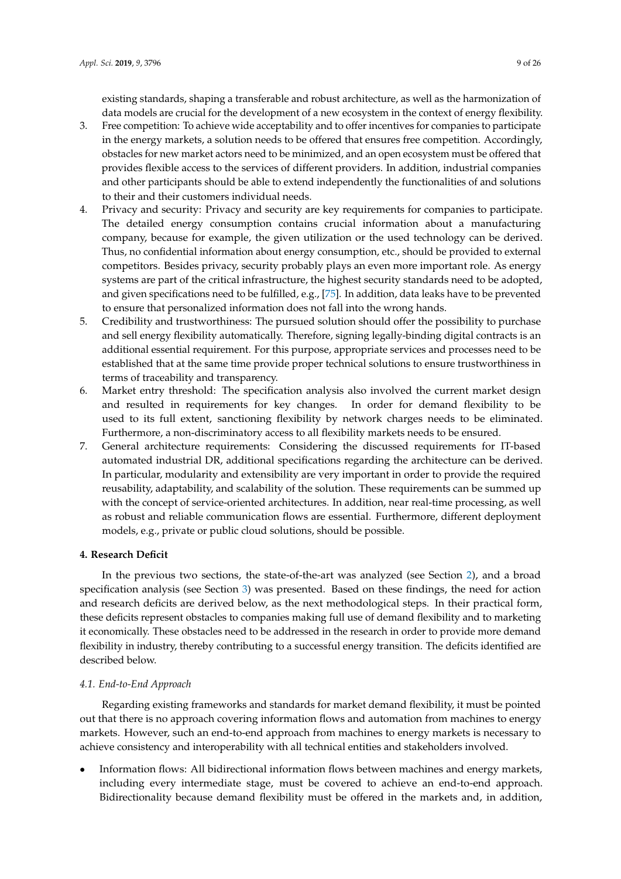existing standards, shaping a transferable and robust architecture, as well as the harmonization of data models are crucial for the development of a new ecosystem in the context of energy flexibility.

- 3. Free competition: To achieve wide acceptability and to offer incentives for companies to participate in the energy markets, a solution needs to be offered that ensures free competition. Accordingly, obstacles for new market actors need to be minimized, and an open ecosystem must be offered that provides flexible access to the services of different providers. In addition, industrial companies and other participants should be able to extend independently the functionalities of and solutions to their and their customers individual needs.
- 4. Privacy and security: Privacy and security are key requirements for companies to participate. The detailed energy consumption contains crucial information about a manufacturing company, because for example, the given utilization or the used technology can be derived. Thus, no confidential information about energy consumption, etc., should be provided to external competitors. Besides privacy, security probably plays an even more important role. As energy systems are part of the critical infrastructure, the highest security standards need to be adopted, and given specifications need to be fulfilled, e.g., [\[75\]](#page-25-4). In addition, data leaks have to be prevented to ensure that personalized information does not fall into the wrong hands.
- 5. Credibility and trustworthiness: The pursued solution should offer the possibility to purchase and sell energy flexibility automatically. Therefore, signing legally-binding digital contracts is an additional essential requirement. For this purpose, appropriate services and processes need to be established that at the same time provide proper technical solutions to ensure trustworthiness in terms of traceability and transparency.
- 6. Market entry threshold: The specification analysis also involved the current market design and resulted in requirements for key changes. In order for demand flexibility to be used to its full extent, sanctioning flexibility by network charges needs to be eliminated. Furthermore, a non-discriminatory access to all flexibility markets needs to be ensured.
- 7. General architecture requirements: Considering the discussed requirements for IT-based automated industrial DR, additional specifications regarding the architecture can be derived. In particular, modularity and extensibility are very important in order to provide the required reusability, adaptability, and scalability of the solution. These requirements can be summed up with the concept of service-oriented architectures. In addition, near real-time processing, as well as robust and reliable communication flows are essential. Furthermore, different deployment models, e.g., private or public cloud solutions, should be possible.

## <span id="page-8-0"></span>**4. Research Deficit**

In the previous two sections, the state-of-the-art was analyzed (see Section [2\)](#page-1-0), and a broad specification analysis (see Section [3\)](#page-7-1) was presented. Based on these findings, the need for action and research deficits are derived below, as the next methodological steps. In their practical form, these deficits represent obstacles to companies making full use of demand flexibility and to marketing it economically. These obstacles need to be addressed in the research in order to provide more demand flexibility in industry, thereby contributing to a successful energy transition. The deficits identified are described below.

## *4.1. End-to-End Approach*

Regarding existing frameworks and standards for market demand flexibility, it must be pointed out that there is no approach covering information flows and automation from machines to energy markets. However, such an end-to-end approach from machines to energy markets is necessary to achieve consistency and interoperability with all technical entities and stakeholders involved.

• Information flows: All bidirectional information flows between machines and energy markets, including every intermediate stage, must be covered to achieve an end-to-end approach. Bidirectionality because demand flexibility must be offered in the markets and, in addition,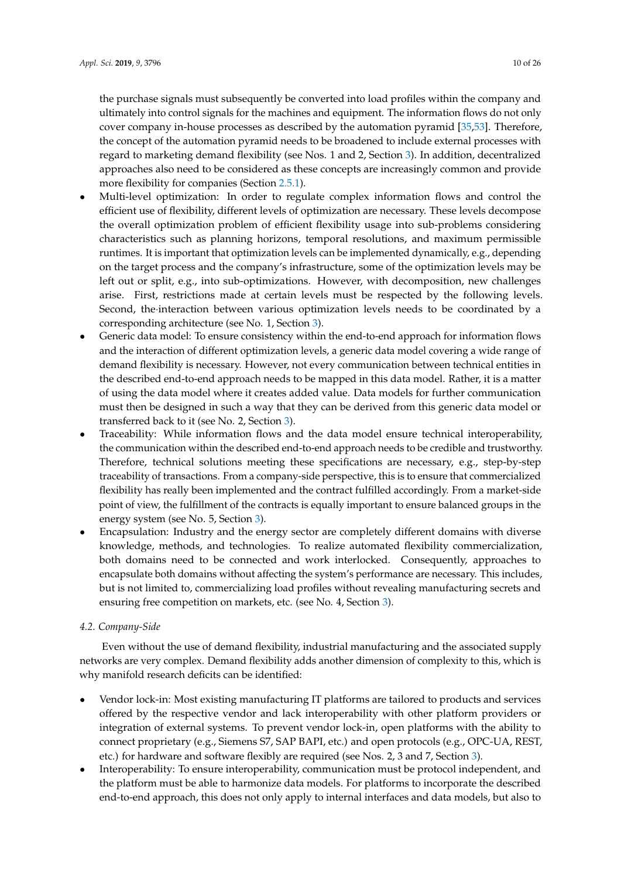the purchase signals must subsequently be converted into load profiles within the company and ultimately into control signals for the machines and equipment. The information flows do not only cover company in-house processes as described by the automation pyramid [\[35,](#page-23-12)[53\]](#page-24-5). Therefore, the concept of the automation pyramid needs to be broadened to include external processes with regard to marketing demand flexibility (see Nos. 1 and 2, Section [3\)](#page-7-1). In addition, decentralized approaches also need to be considered as these concepts are increasingly common and provide more flexibility for companies (Section [2.5.1\)](#page-4-0).

- Multi-level optimization: In order to regulate complex information flows and control the efficient use of flexibility, different levels of optimization are necessary. These levels decompose the overall optimization problem of efficient flexibility usage into sub-problems considering characteristics such as planning horizons, temporal resolutions, and maximum permissible runtimes. It is important that optimization levels can be implemented dynamically, e.g., depending on the target process and the company's infrastructure, some of the optimization levels may be left out or split, e.g., into sub-optimizations. However, with decomposition, new challenges arise. First, restrictions made at certain levels must be respected by the following levels. Second, the·interaction between various optimization levels needs to be coordinated by a corresponding architecture (see No. 1, Section [3\)](#page-7-1).
- Generic data model: To ensure consistency within the end-to-end approach for information flows and the interaction of different optimization levels, a generic data model covering a wide range of demand flexibility is necessary. However, not every communication between technical entities in the described end-to-end approach needs to be mapped in this data model. Rather, it is a matter of using the data model where it creates added value. Data models for further communication must then be designed in such a way that they can be derived from this generic data model or transferred back to it (see No. 2, Section [3\)](#page-7-1).
- Traceability: While information flows and the data model ensure technical interoperability, the communication within the described end-to-end approach needs to be credible and trustworthy. Therefore, technical solutions meeting these specifications are necessary, e.g., step-by-step traceability of transactions. From a company-side perspective, this is to ensure that commercialized flexibility has really been implemented and the contract fulfilled accordingly. From a market-side point of view, the fulfillment of the contracts is equally important to ensure balanced groups in the energy system (see No. 5, Section [3\)](#page-7-1).
- Encapsulation: Industry and the energy sector are completely different domains with diverse knowledge, methods, and technologies. To realize automated flexibility commercialization, both domains need to be connected and work interlocked. Consequently, approaches to encapsulate both domains without affecting the system's performance are necessary. This includes, but is not limited to, commercializing load profiles without revealing manufacturing secrets and ensuring free competition on markets, etc. (see No. 4, Section [3\)](#page-7-1).

# *4.2. Company-Side*

Even without the use of demand flexibility, industrial manufacturing and the associated supply networks are very complex. Demand flexibility adds another dimension of complexity to this, which is why manifold research deficits can be identified:

- Vendor lock-in: Most existing manufacturing IT platforms are tailored to products and services offered by the respective vendor and lack interoperability with other platform providers or integration of external systems. To prevent vendor lock-in, open platforms with the ability to connect proprietary (e.g., Siemens S7, SAP BAPI, etc.) and open protocols (e.g., OPC-UA, REST, etc.) for hardware and software flexibly are required (see Nos. 2, 3 and 7, Section [3\)](#page-7-1).
- Interoperability: To ensure interoperability, communication must be protocol independent, and the platform must be able to harmonize data models. For platforms to incorporate the described end-to-end approach, this does not only apply to internal interfaces and data models, but also to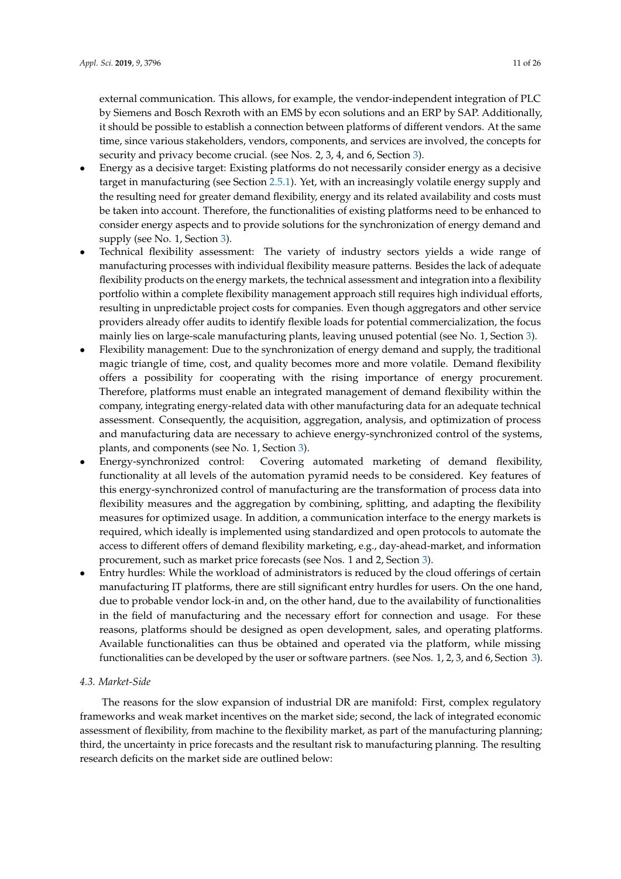external communication. This allows, for example, the vendor-independent integration of PLC by Siemens and Bosch Rexroth with an EMS by econ solutions and an ERP by SAP. Additionally, it should be possible to establish a connection between platforms of different vendors. At the same time, since various stakeholders, vendors, components, and services are involved, the concepts for security and privacy become crucial. (see Nos. 2, 3, 4, and 6, Section [3\)](#page-7-1).

- Energy as a decisive target: Existing platforms do not necessarily consider energy as a decisive target in manufacturing (see Section [2.5.1\)](#page-4-0). Yet, with an increasingly volatile energy supply and the resulting need for greater demand flexibility, energy and its related availability and costs must be taken into account. Therefore, the functionalities of existing platforms need to be enhanced to consider energy aspects and to provide solutions for the synchronization of energy demand and supply (see No. 1, Section [3\)](#page-7-1).
- Technical flexibility assessment: The variety of industry sectors yields a wide range of manufacturing processes with individual flexibility measure patterns. Besides the lack of adequate flexibility products on the energy markets, the technical assessment and integration into a flexibility portfolio within a complete flexibility management approach still requires high individual efforts, resulting in unpredictable project costs for companies. Even though aggregators and other service providers already offer audits to identify flexible loads for potential commercialization, the focus mainly lies on large-scale manufacturing plants, leaving unused potential (see No. 1, Section [3\)](#page-7-1).
- Flexibility management: Due to the synchronization of energy demand and supply, the traditional magic triangle of time, cost, and quality becomes more and more volatile. Demand flexibility offers a possibility for cooperating with the rising importance of energy procurement. Therefore, platforms must enable an integrated management of demand flexibility within the company, integrating energy-related data with other manufacturing data for an adequate technical assessment. Consequently, the acquisition, aggregation, analysis, and optimization of process and manufacturing data are necessary to achieve energy-synchronized control of the systems, plants, and components (see No. 1, Section [3\)](#page-7-1).
- Energy-synchronized control: Covering automated marketing of demand flexibility, functionality at all levels of the automation pyramid needs to be considered. Key features of this energy-synchronized control of manufacturing are the transformation of process data into flexibility measures and the aggregation by combining, splitting, and adapting the flexibility measures for optimized usage. In addition, a communication interface to the energy markets is required, which ideally is implemented using standardized and open protocols to automate the access to different offers of demand flexibility marketing, e.g., day-ahead-market, and information procurement, such as market price forecasts (see Nos. 1 and 2, Section [3\)](#page-7-1).
- Entry hurdles: While the workload of administrators is reduced by the cloud offerings of certain manufacturing IT platforms, there are still significant entry hurdles for users. On the one hand, due to probable vendor lock-in and, on the other hand, due to the availability of functionalities in the field of manufacturing and the necessary effort for connection and usage. For these reasons, platforms should be designed as open development, sales, and operating platforms. Available functionalities can thus be obtained and operated via the platform, while missing functionalities can be developed by the user or software partners. (see Nos. 1, 2, 3, and 6, Section [3\)](#page-7-1).

## *4.3. Market-Side*

The reasons for the slow expansion of industrial DR are manifold: First, complex regulatory frameworks and weak market incentives on the market side; second, the lack of integrated economic assessment of flexibility, from machine to the flexibility market, as part of the manufacturing planning; third, the uncertainty in price forecasts and the resultant risk to manufacturing planning. The resulting research deficits on the market side are outlined below: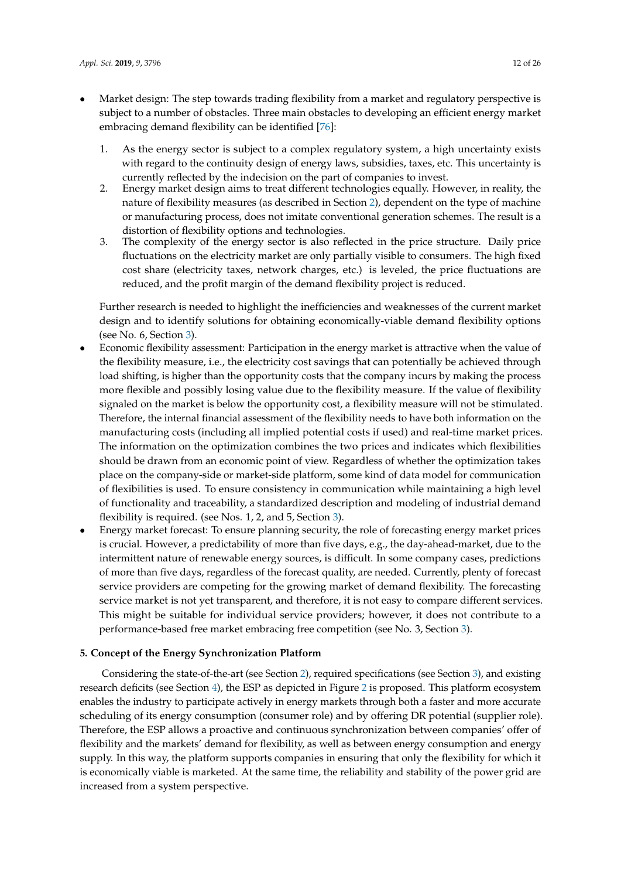- Market design: The step towards trading flexibility from a market and regulatory perspective is subject to a number of obstacles. Three main obstacles to developing an efficient energy market embracing demand flexibility can be identified [\[76\]](#page-25-5):
	- 1. As the energy sector is subject to a complex regulatory system, a high uncertainty exists with regard to the continuity design of energy laws, subsidies, taxes, etc. This uncertainty is currently reflected by the indecision on the part of companies to invest.
	- 2. Energy market design aims to treat different technologies equally. However, in reality, the nature of flexibility measures (as described in Section [2\)](#page-1-0), dependent on the type of machine or manufacturing process, does not imitate conventional generation schemes. The result is a distortion of flexibility options and technologies.
	- 3. The complexity of the energy sector is also reflected in the price structure. Daily price fluctuations on the electricity market are only partially visible to consumers. The high fixed cost share (electricity taxes, network charges, etc.) is leveled, the price fluctuations are reduced, and the profit margin of the demand flexibility project is reduced.

Further research is needed to highlight the inefficiencies and weaknesses of the current market design and to identify solutions for obtaining economically-viable demand flexibility options (see No. 6, Section [3\)](#page-7-1).

- Economic flexibility assessment: Participation in the energy market is attractive when the value of the flexibility measure, i.e., the electricity cost savings that can potentially be achieved through load shifting, is higher than the opportunity costs that the company incurs by making the process more flexible and possibly losing value due to the flexibility measure. If the value of flexibility signaled on the market is below the opportunity cost, a flexibility measure will not be stimulated. Therefore, the internal financial assessment of the flexibility needs to have both information on the manufacturing costs (including all implied potential costs if used) and real-time market prices. The information on the optimization combines the two prices and indicates which flexibilities should be drawn from an economic point of view. Regardless of whether the optimization takes place on the company-side or market-side platform, some kind of data model for communication of flexibilities is used. To ensure consistency in communication while maintaining a high level of functionality and traceability, a standardized description and modeling of industrial demand flexibility is required. (see Nos. 1, 2, and 5, Section [3\)](#page-7-1).
- Energy market forecast: To ensure planning security, the role of forecasting energy market prices is crucial. However, a predictability of more than five days, e.g., the day-ahead-market, due to the intermittent nature of renewable energy sources, is difficult. In some company cases, predictions of more than five days, regardless of the forecast quality, are needed. Currently, plenty of forecast service providers are competing for the growing market of demand flexibility. The forecasting service market is not yet transparent, and therefore, it is not easy to compare different services. This might be suitable for individual service providers; however, it does not contribute to a performance-based free market embracing free competition (see No. 3, Section [3\)](#page-7-1).

## <span id="page-11-0"></span>**5. Concept of the Energy Synchronization Platform**

Considering the state-of-the-art (see Section [2\)](#page-1-0), required specifications (see Section [3\)](#page-7-1), and existing research deficits (see Section [4\)](#page-8-0), the ESP as depicted in Figure [2](#page-12-0) is proposed. This platform ecosystem enables the industry to participate actively in energy markets through both a faster and more accurate scheduling of its energy consumption (consumer role) and by offering DR potential (supplier role). Therefore, the ESP allows a proactive and continuous synchronization between companies' offer of flexibility and the markets' demand for flexibility, as well as between energy consumption and energy supply. In this way, the platform supports companies in ensuring that only the flexibility for which it is economically viable is marketed. At the same time, the reliability and stability of the power grid are increased from a system perspective.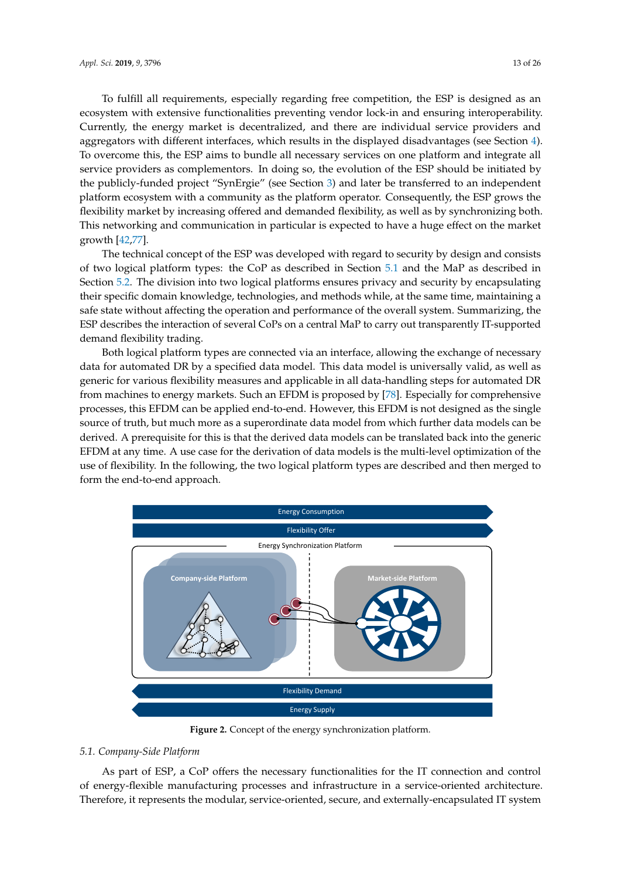To fulfill all requirements, especially regarding free competition, the ESP is designed as an ecosystem with extensive functionalities preventing vendor lock-in and ensuring interoperability. Currently, the energy market is decentralized, and there are individual service providers and aggregators with different interfaces, which results in the displayed disadvantages (see Section [4\)](#page-8-0). To overcome this, the ESP aims to bundle all necessary services on one platform and integrate all service providers as complementors. In doing so, the evolution of the ESP should be initiated by the publicly-funded project "SynErgie" (see Section [3\)](#page-7-1) and later be transferred to an independent platform ecosystem with a community as the platform operator. Consequently, the ESP grows the flexibility market by increasing offered and demanded flexibility, as well as by synchronizing both. This networking and communication in particular is expected to have a huge effect on the market growth [\[42](#page-23-19)[,77\]](#page-25-6).

The technical concept of the ESP was developed with regard to security by design and consists of two logical platform types: the CoP as described in Section [5.1](#page-12-1) and the MaP as described in Section [5.2.](#page-15-0) The division into two logical platforms ensures privacy and security by encapsulating their specific domain knowledge, technologies, and methods while, at the same time, maintaining a safe state without affecting the operation and performance of the overall system. Summarizing, the ESP describes the interaction of several CoPs on a central MaP to carry out transparently IT-supported demand flexibility trading.

Both logical platform types are connected via an interface, allowing the exchange of necessary data for automated DR by a specified data model. This data model is universally valid, as well as generic for various flexibility measures and applicable in all data-handling steps for automated DR from machines to energy markets. Such an EFDM is proposed by [\[78\]](#page-25-7). Especially for comprehensive processes, this EFDM can be applied end-to-end. However, this EFDM is not designed as the single source of truth, but much more as a superordinate data model from which further data models can be derived. A prerequisite for this is that the derived data models can be translated back into the generic EFDM at any time. A use case for the derivation of data models is the multi-level optimization of the use of flexibility. In the following, the two logical platform types are described and then merged to form the end-to-end approach.

<span id="page-12-0"></span>

**Figure 2.** Concept of the energy synchronization platform.

#### <span id="page-12-1"></span>*5.1. Company-Side Platform*

As part of ESP, a CoP offers the necessary functionalities for the IT connection and control of energy-flexible manufacturing processes and infrastructure in a service-oriented architecture. Therefore, it represents the modular, service-oriented, secure, and externally-encapsulated IT system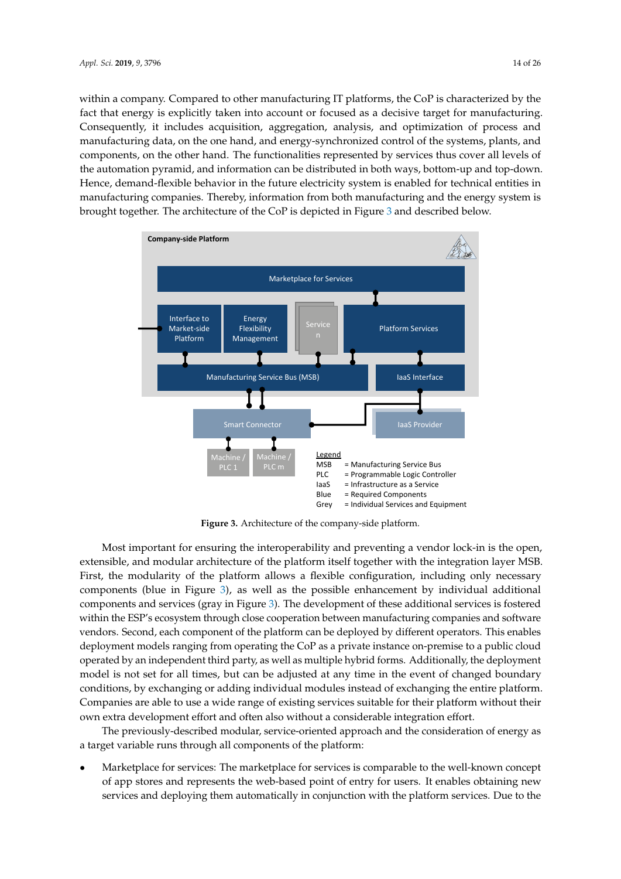within a company. Compared to other manufacturing IT platforms, the CoP is characterized by the fact that energy is explicitly taken into account or focused as a decisive target for manufacturing. Consequently, it includes acquisition, aggregation, analysis, and optimization of process and manufacturing data, on the one hand, and energy-synchronized control of the systems, plants, and components, on the other hand. The functionalities represented by services thus cover all levels of the automation pyramid, and information can be distributed in both ways, bottom-up and top-down. Hence, demand-flexible behavior in the future electricity system is enabled for technical entities in manufacturing companies. Thereby, information from both manufacturing and the energy system is brought together. The architecture of the CoP is depicted in Figure [3](#page-13-0) and described below.

<span id="page-13-0"></span>

**Figure 3.** Architecture of the company-side platform.

Most important for ensuring the interoperability and preventing a vendor lock-in is the open, extensible, and modular architecture of the platform itself together with the integration layer MSB. First, the modularity of the platform allows a flexible configuration, including only necessary components (blue in Figure [3\)](#page-13-0), as well as the possible enhancement by individual additional components and services (gray in Figure [3\)](#page-13-0). The development of these additional services is fostered within the ESP's ecosystem through close cooperation between manufacturing companies and software vendors. Second, each component of the platform can be deployed by different operators. This enables deployment models ranging from operating the CoP as a private instance on-premise to a public cloud operated by an independent third party, as well as multiple hybrid forms. Additionally, the deployment model is not set for all times, but can be adjusted at any time in the event of changed boundary conditions, by exchanging or adding individual modules instead of exchanging the entire platform. Companies are able to use a wide range of existing services suitable for their platform without their own extra development effort and often also without a considerable integration effort.

The previously-described modular, service-oriented approach and the consideration of energy as a target variable runs through all components of the platform:

• Marketplace for services: The marketplace for services is comparable to the well-known concept of app stores and represents the web-based point of entry for users. It enables obtaining new services and deploying them automatically in conjunction with the platform services. Due to the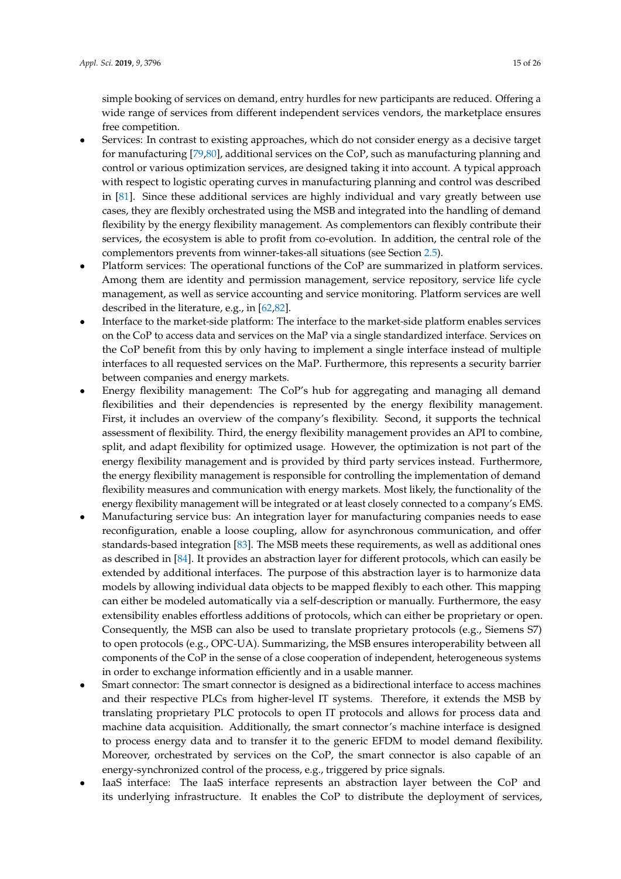simple booking of services on demand, entry hurdles for new participants are reduced. Offering a wide range of services from different independent services vendors, the marketplace ensures free competition.

- Services: In contrast to existing approaches, which do not consider energy as a decisive target for manufacturing [\[79,](#page-25-8)[80\]](#page-25-9), additional services on the CoP, such as manufacturing planning and control or various optimization services, are designed taking it into account. A typical approach with respect to logistic operating curves in manufacturing planning and control was described in [\[81\]](#page-25-10). Since these additional services are highly individual and vary greatly between use cases, they are flexibly orchestrated using the MSB and integrated into the handling of demand flexibility by the energy flexibility management. As complementors can flexibly contribute their services, the ecosystem is able to profit from co-evolution. In addition, the central role of the complementors prevents from winner-takes-all situations (see Section [2.5\)](#page-4-1).
- Platform services: The operational functions of the CoP are summarized in platform services. Among them are identity and permission management, service repository, service life cycle management, as well as service accounting and service monitoring. Platform services are well described in the literature, e.g., in [\[62](#page-24-20)[,82\]](#page-25-11).
- Interface to the market-side platform: The interface to the market-side platform enables services on the CoP to access data and services on the MaP via a single standardized interface. Services on the CoP benefit from this by only having to implement a single interface instead of multiple interfaces to all requested services on the MaP. Furthermore, this represents a security barrier between companies and energy markets.
- Energy flexibility management: The CoP's hub for aggregating and managing all demand flexibilities and their dependencies is represented by the energy flexibility management. First, it includes an overview of the company's flexibility. Second, it supports the technical assessment of flexibility. Third, the energy flexibility management provides an API to combine, split, and adapt flexibility for optimized usage. However, the optimization is not part of the energy flexibility management and is provided by third party services instead. Furthermore, the energy flexibility management is responsible for controlling the implementation of demand flexibility measures and communication with energy markets. Most likely, the functionality of the energy flexibility management will be integrated or at least closely connected to a company's EMS.
- Manufacturing service bus: An integration layer for manufacturing companies needs to ease reconfiguration, enable a loose coupling, allow for asynchronous communication, and offer standards-based integration [\[83\]](#page-25-12). The MSB meets these requirements, as well as additional ones as described in [\[84\]](#page-25-13). It provides an abstraction layer for different protocols, which can easily be extended by additional interfaces. The purpose of this abstraction layer is to harmonize data models by allowing individual data objects to be mapped flexibly to each other. This mapping can either be modeled automatically via a self-description or manually. Furthermore, the easy extensibility enables effortless additions of protocols, which can either be proprietary or open. Consequently, the MSB can also be used to translate proprietary protocols (e.g., Siemens S7) to open protocols (e.g., OPC-UA). Summarizing, the MSB ensures interoperability between all components of the CoP in the sense of a close cooperation of independent, heterogeneous systems in order to exchange information efficiently and in a usable manner.
- Smart connector: The smart connector is designed as a bidirectional interface to access machines and their respective PLCs from higher-level IT systems. Therefore, it extends the MSB by translating proprietary PLC protocols to open IT protocols and allows for process data and machine data acquisition. Additionally, the smart connector's machine interface is designed to process energy data and to transfer it to the generic EFDM to model demand flexibility. Moreover, orchestrated by services on the CoP, the smart connector is also capable of an energy-synchronized control of the process, e.g., triggered by price signals.
- IaaS interface: The IaaS interface represents an abstraction layer between the CoP and its underlying infrastructure. It enables the CoP to distribute the deployment of services,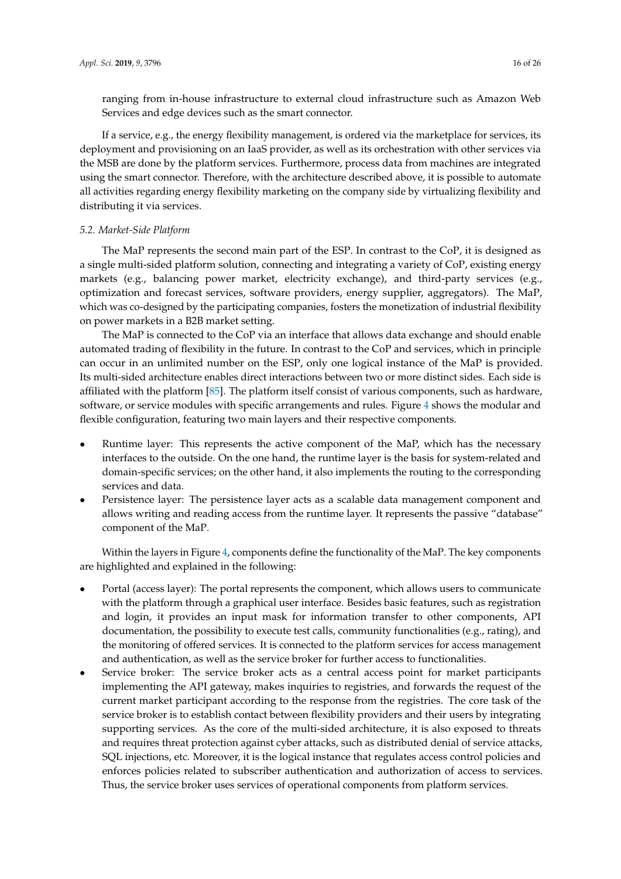ranging from in-house infrastructure to external cloud infrastructure such as Amazon Web Services and edge devices such as the smart connector.

If a service, e.g., the energy flexibility management, is ordered via the marketplace for services, its deployment and provisioning on an IaaS provider, as well as its orchestration with other services via the MSB are done by the platform services. Furthermore, process data from machines are integrated using the smart connector. Therefore, with the architecture described above, it is possible to automate all activities regarding energy flexibility marketing on the company side by virtualizing flexibility and distributing it via services.

## <span id="page-15-0"></span>*5.2. Market-Side Platform*

The MaP represents the second main part of the ESP. In contrast to the CoP, it is designed as a single multi-sided platform solution, connecting and integrating a variety of CoP, existing energy markets (e.g., balancing power market, electricity exchange), and third-party services (e.g., optimization and forecast services, software providers, energy supplier, aggregators). The MaP, which was co-designed by the participating companies, fosters the monetization of industrial flexibility on power markets in a B2B market setting.

The MaP is connected to the CoP via an interface that allows data exchange and should enable automated trading of flexibility in the future. In contrast to the CoP and services, which in principle can occur in an unlimited number on the ESP, only one logical instance of the MaP is provided. Its multi-sided architecture enables direct interactions between two or more distinct sides. Each side is affiliated with the platform [\[85\]](#page-25-14). The platform itself consist of various components, such as hardware, software, or service modules with specific arrangements and rules. Figure [4](#page-16-0) shows the modular and flexible configuration, featuring two main layers and their respective components.

- Runtime layer: This represents the active component of the MaP, which has the necessary interfaces to the outside. On the one hand, the runtime layer is the basis for system-related and domain-specific services; on the other hand, it also implements the routing to the corresponding services and data.
- Persistence layer: The persistence layer acts as a scalable data management component and allows writing and reading access from the runtime layer. It represents the passive "database" component of the MaP.

Within the layers in Figure [4,](#page-16-0) components define the functionality of the MaP. The key components are highlighted and explained in the following:

- Portal (access layer): The portal represents the component, which allows users to communicate with the platform through a graphical user interface. Besides basic features, such as registration and login, it provides an input mask for information transfer to other components, API documentation, the possibility to execute test calls, community functionalities (e.g., rating), and the monitoring of offered services. It is connected to the platform services for access management and authentication, as well as the service broker for further access to functionalities.
- Service broker: The service broker acts as a central access point for market participants implementing the API gateway, makes inquiries to registries, and forwards the request of the current market participant according to the response from the registries. The core task of the service broker is to establish contact between flexibility providers and their users by integrating supporting services. As the core of the multi-sided architecture, it is also exposed to threats and requires threat protection against cyber attacks, such as distributed denial of service attacks, SQL injections, etc. Moreover, it is the logical instance that regulates access control policies and enforces policies related to subscriber authentication and authorization of access to services. Thus, the service broker uses services of operational components from platform services.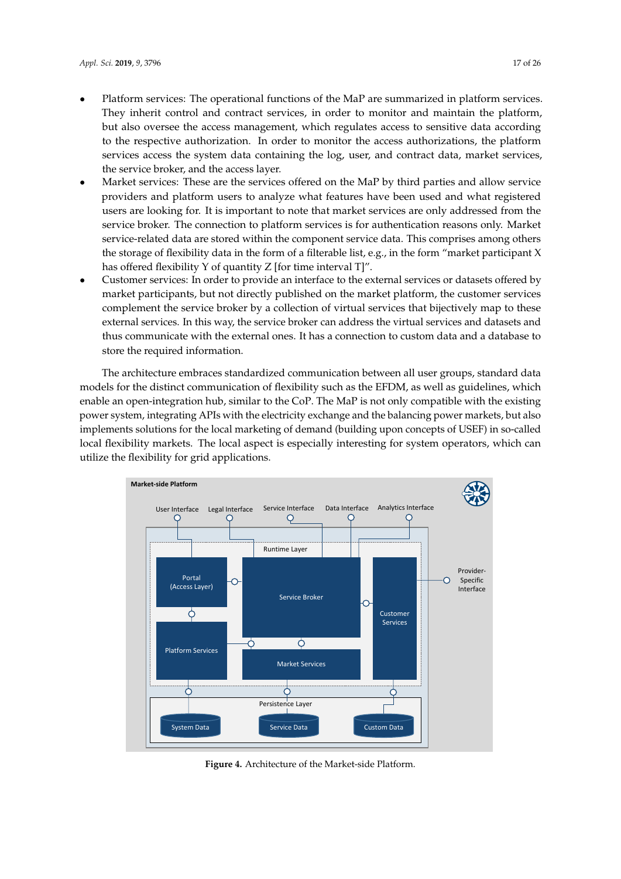- Platform services: The operational functions of the MaP are summarized in platform services. They inherit control and contract services, in order to monitor and maintain the platform, but also oversee the access management, which regulates access to sensitive data according to the respective authorization. In order to monitor the access authorizations, the platform services access the system data containing the log, user, and contract data, market services, the service broker, and the access layer.
- Market services: These are the services offered on the MaP by third parties and allow service providers and platform users to analyze what features have been used and what registered users are looking for. It is important to note that market services are only addressed from the service broker. The connection to platform services is for authentication reasons only. Market service-related data are stored within the component service data. This comprises among others the storage of flexibility data in the form of a filterable list, e.g., in the form "market participant X has offered flexibility Y of quantity Z [for time interval T]".
- Customer services: In order to provide an interface to the external services or datasets offered by market participants, but not directly published on the market platform, the customer services complement the service broker by a collection of virtual services that bijectively map to these external services. In this way, the service broker can address the virtual services and datasets and thus communicate with the external ones. It has a connection to custom data and a database to store the required information.

The architecture embraces standardized communication between all user groups, standard data models for the distinct communication of flexibility such as the EFDM, as well as guidelines, which enable an open-integration hub, similar to the CoP. The MaP is not only compatible with the existing power system, integrating APIs with the electricity exchange and the balancing power markets, but also implements solutions for the local marketing of demand (building upon concepts of USEF) in so-called local flexibility markets. The local aspect is especially interesting for system operators, which can utilize the flexibility for grid applications.

<span id="page-16-0"></span>

**Figure 4.** Architecture of the Market-side Platform.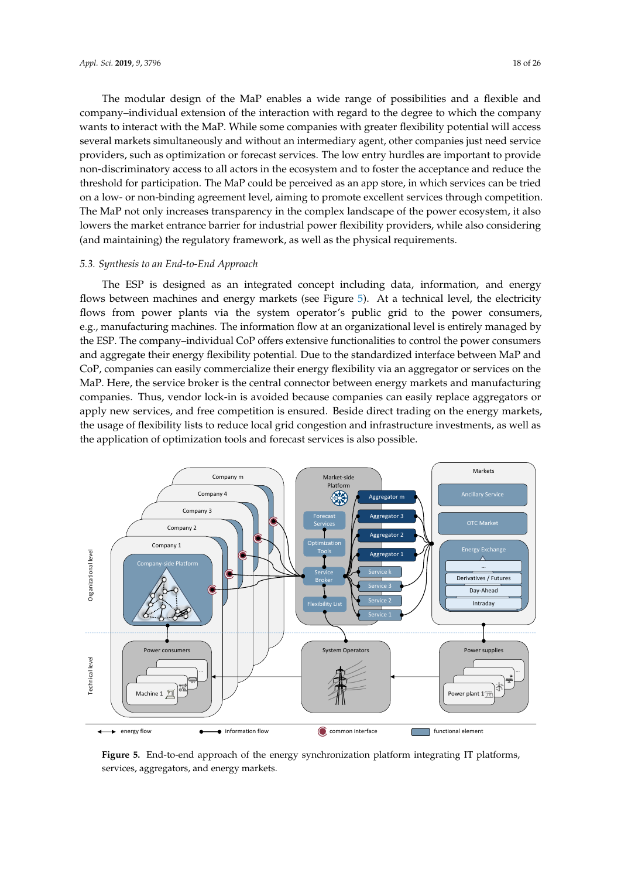The modular design of the MaP enables a wide range of possibilities and a flexible and company–individual extension of the interaction with regard to the degree to which the company wants to interact with the MaP. While some companies with greater flexibility potential will access several markets simultaneously and without an intermediary agent, other companies just need service providers, such as optimization or forecast services. The low entry hurdles are important to provide non-discriminatory access to all actors in the ecosystem and to foster the acceptance and reduce the threshold for participation. The MaP could be perceived as an app store, in which services can be tried on a low- or non-binding agreement level, aiming to promote excellent services through competition. The MaP not only increases transparency in the complex landscape of the power ecosystem, it also lowers the market entrance barrier for industrial power flexibility providers, while also considering (and maintaining) the regulatory framework, as well as the physical requirements.

## *5.3. Synthesis to an End-to-End Approach*

The ESP is designed as an integrated concept including data, information, and energy flows between machines and energy markets (see Figure [5\)](#page-17-0). At a technical level, the electricity flows from power plants via the system operator's public grid to the power consumers, e.g., manufacturing machines. The information flow at an organizational level is entirely managed by the ESP. The company–individual CoP offers extensive functionalities to control the power consumers and aggregate their energy flexibility potential. Due to the standardized interface between MaP and CoP, companies can easily commercialize their energy flexibility via an aggregator or services on the MaP. Here, the service broker is the central connector between energy markets and manufacturing companies. Thus, vendor lock-in is avoided because companies can easily replace aggregators or apply new services, and free competition is ensured. Beside direct trading on the energy markets, the usage of flexibility lists to reduce local grid congestion and infrastructure investments, as well as the application of optimization tools and forecast services is also possible.

<span id="page-17-0"></span>

**Figure 5.** End-to-end approach of the energy synchronization platform integrating IT platforms, services, aggregators, and energy markets.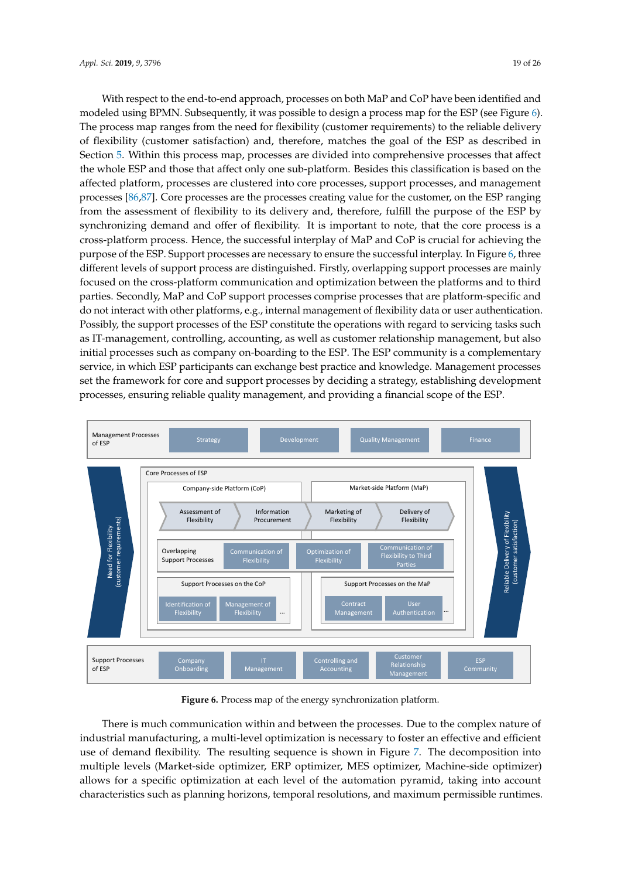With respect to the end-to-end approach, processes on both MaP and CoP have been identified and modeled using BPMN. Subsequently, it was possible to design a process map for the ESP (see Figure [6\)](#page-18-0). The process map ranges from the need for flexibility (customer requirements) to the reliable delivery of flexibility (customer satisfaction) and, therefore, matches the goal of the ESP as described in Section [5.](#page-11-0) Within this process map, processes are divided into comprehensive processes that affect the whole ESP and those that affect only one sub-platform. Besides this classification is based on the affected platform, processes are clustered into core processes, support processes, and management processes [\[86,](#page-25-15)[87\]](#page-25-16). Core processes are the processes creating value for the customer, on the ESP ranging from the assessment of flexibility to its delivery and, therefore, fulfill the purpose of the ESP by synchronizing demand and offer of flexibility. It is important to note, that the core process is a cross-platform process. Hence, the successful interplay of MaP and CoP is crucial for achieving the purpose of the ESP. Support processes are necessary to ensure the successful interplay. In Figure [6,](#page-18-0) three different levels of support process are distinguished. Firstly, overlapping support processes are mainly focused on the cross-platform communication and optimization between the platforms and to third parties. Secondly, MaP and CoP support processes comprise processes that are platform-specific and do not interact with other platforms, e.g., internal management of flexibility data or user authentication. Possibly, the support processes of the ESP constitute the operations with regard to servicing tasks such as IT-management, controlling, accounting, as well as customer relationship management, but also initial processes such as company on-boarding to the ESP. The ESP community is a complementary service, in which ESP participants can exchange best practice and knowledge. Management processes set the framework for core and support processes by deciding a strategy, establishing development processes, ensuring reliable quality management, and providing a financial scope of the ESP.

<span id="page-18-0"></span>

**Figure 6.** Process map of the energy synchronization platform.

There is much communication within and between the processes. Due to the complex nature of industrial manufacturing, a multi-level optimization is necessary to foster an effective and efficient use of demand flexibility. The resulting sequence is shown in Figure [7.](#page-19-1) The decomposition into multiple levels (Market-side optimizer, ERP optimizer, MES optimizer, Machine-side optimizer) allows for a specific optimization at each level of the automation pyramid, taking into account characteristics such as planning horizons, temporal resolutions, and maximum permissible runtimes.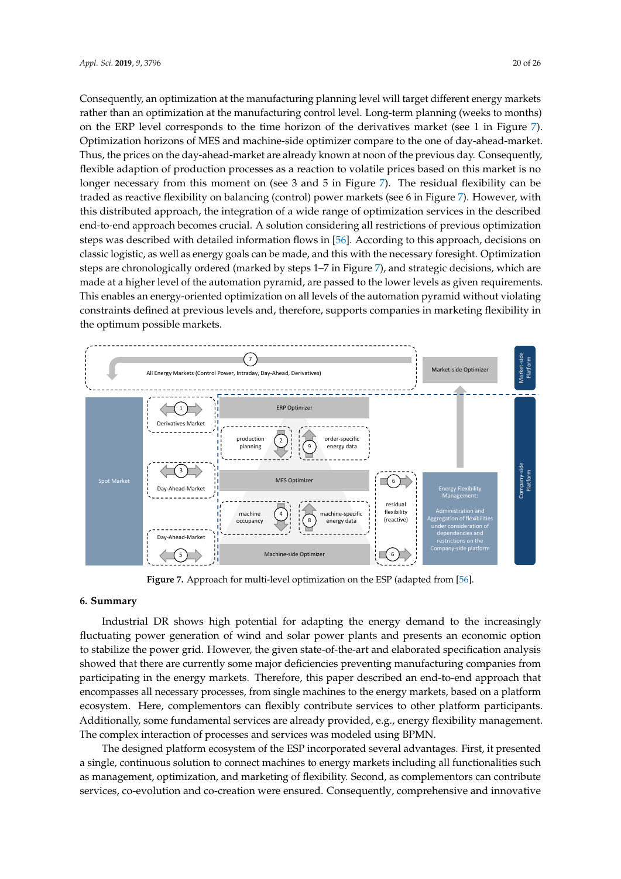Consequently, an optimization at the manufacturing planning level will target different energy markets rather than an optimization at the manufacturing control level. Long-term planning (weeks to months) on the ERP level corresponds to the time horizon of the derivatives market (see 1 in Figure [7\)](#page-19-1). Optimization horizons of MES and machine-side optimizer compare to the one of day-ahead-market. Thus, the prices on the day-ahead-market are already known at noon of the previous day. Consequently, flexible adaption of production processes as a reaction to volatile prices based on this market is no longer necessary from this moment on (see 3 and 5 in Figure [7\)](#page-19-1). The residual flexibility can be traded as reactive flexibility on balancing (control) power markets (see 6 in Figure [7\)](#page-19-1). However, with this distributed approach, the integration of a wide range of optimization services in the described end-to-end approach becomes crucial. A solution considering all restrictions of previous optimization steps was described with detailed information flows in [\[56\]](#page-24-7). According to this approach, decisions on classic logistic, as well as energy goals can be made, and this with the necessary foresight. Optimization steps are chronologically ordered (marked by steps 1–7 in Figure [7\)](#page-19-1), and strategic decisions, which are made at a higher level of the automation pyramid, are passed to the lower levels as given requirements. This enables an energy-oriented optimization on all levels of the automation pyramid without violating constraints defined at previous levels and, therefore, supports companies in marketing flexibility in the optimum possible markets.

<span id="page-19-1"></span>

Figure 7. Approach for multi-level optimization on the ESP (adapted from [\[56\]](#page-24-7).

# <span id="page-19-0"></span>**6. Summary**

Industrial DR shows high potential for adapting the energy demand to the increasingly fluctuating power generation of wind and solar power plants and presents an economic option to stabilize the power grid. However, the given state-of-the-art and elaborated specification analysis showed that there are currently some major deficiencies preventing manufacturing companies from participating in the energy markets. Therefore, this paper described an end-to-end approach that encompasses all necessary processes, from single machines to the energy markets, based on a platform ecosystem. Here, complementors can flexibly contribute services to other platform participants. Additionally, some fundamental services are already provided, e.g., energy flexibility management. The complex interaction of processes and services was modeled using BPMN.

The designed platform ecosystem of the ESP incorporated several advantages. First, it presented a single, continuous solution to connect machines to energy markets including all functionalities such as management, optimization, and marketing of flexibility. Second, as complementors can contribute services, co-evolution and co-creation were ensured. Consequently, comprehensive and innovative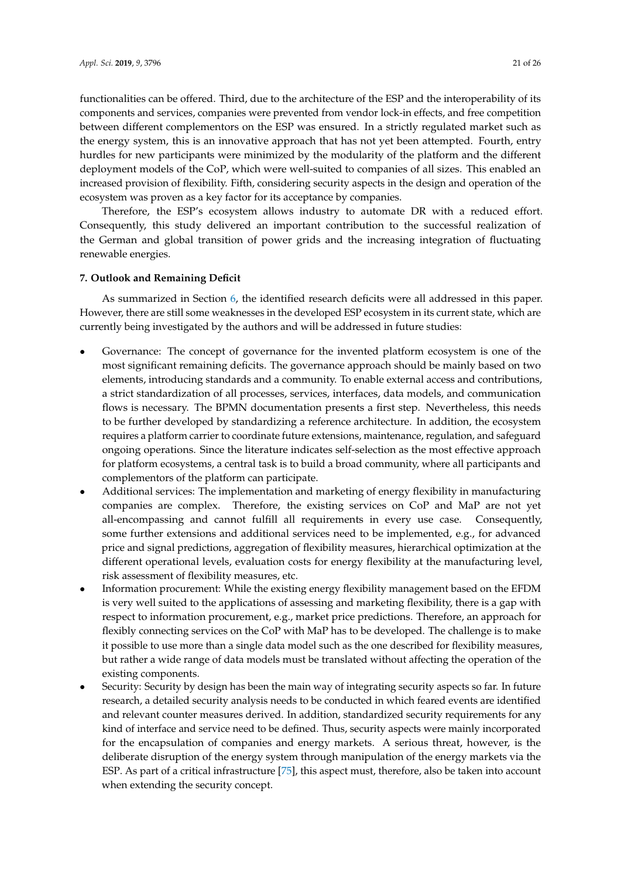functionalities can be offered. Third, due to the architecture of the ESP and the interoperability of its components and services, companies were prevented from vendor lock-in effects, and free competition between different complementors on the ESP was ensured. In a strictly regulated market such as the energy system, this is an innovative approach that has not yet been attempted. Fourth, entry hurdles for new participants were minimized by the modularity of the platform and the different deployment models of the CoP, which were well-suited to companies of all sizes. This enabled an increased provision of flexibility. Fifth, considering security aspects in the design and operation of the ecosystem was proven as a key factor for its acceptance by companies.

Therefore, the ESP's ecosystem allows industry to automate DR with a reduced effort. Consequently, this study delivered an important contribution to the successful realization of the German and global transition of power grids and the increasing integration of fluctuating renewable energies.

## <span id="page-20-0"></span>**7. Outlook and Remaining Deficit**

As summarized in Section [6,](#page-19-0) the identified research deficits were all addressed in this paper. However, there are still some weaknesses in the developed ESP ecosystem in its current state, which are currently being investigated by the authors and will be addressed in future studies:

- Governance: The concept of governance for the invented platform ecosystem is one of the most significant remaining deficits. The governance approach should be mainly based on two elements, introducing standards and a community. To enable external access and contributions, a strict standardization of all processes, services, interfaces, data models, and communication flows is necessary. The BPMN documentation presents a first step. Nevertheless, this needs to be further developed by standardizing a reference architecture. In addition, the ecosystem requires a platform carrier to coordinate future extensions, maintenance, regulation, and safeguard ongoing operations. Since the literature indicates self-selection as the most effective approach for platform ecosystems, a central task is to build a broad community, where all participants and complementors of the platform can participate.
- Additional services: The implementation and marketing of energy flexibility in manufacturing companies are complex. Therefore, the existing services on CoP and MaP are not yet all-encompassing and cannot fulfill all requirements in every use case. Consequently, some further extensions and additional services need to be implemented, e.g., for advanced price and signal predictions, aggregation of flexibility measures, hierarchical optimization at the different operational levels, evaluation costs for energy flexibility at the manufacturing level, risk assessment of flexibility measures, etc.
- Information procurement: While the existing energy flexibility management based on the EFDM is very well suited to the applications of assessing and marketing flexibility, there is a gap with respect to information procurement, e.g., market price predictions. Therefore, an approach for flexibly connecting services on the CoP with MaP has to be developed. The challenge is to make it possible to use more than a single data model such as the one described for flexibility measures, but rather a wide range of data models must be translated without affecting the operation of the existing components.
- Security: Security by design has been the main way of integrating security aspects so far. In future research, a detailed security analysis needs to be conducted in which feared events are identified and relevant counter measures derived. In addition, standardized security requirements for any kind of interface and service need to be defined. Thus, security aspects were mainly incorporated for the encapsulation of companies and energy markets. A serious threat, however, is the deliberate disruption of the energy system through manipulation of the energy markets via the ESP. As part of a critical infrastructure [\[75\]](#page-25-4), this aspect must, therefore, also be taken into account when extending the security concept.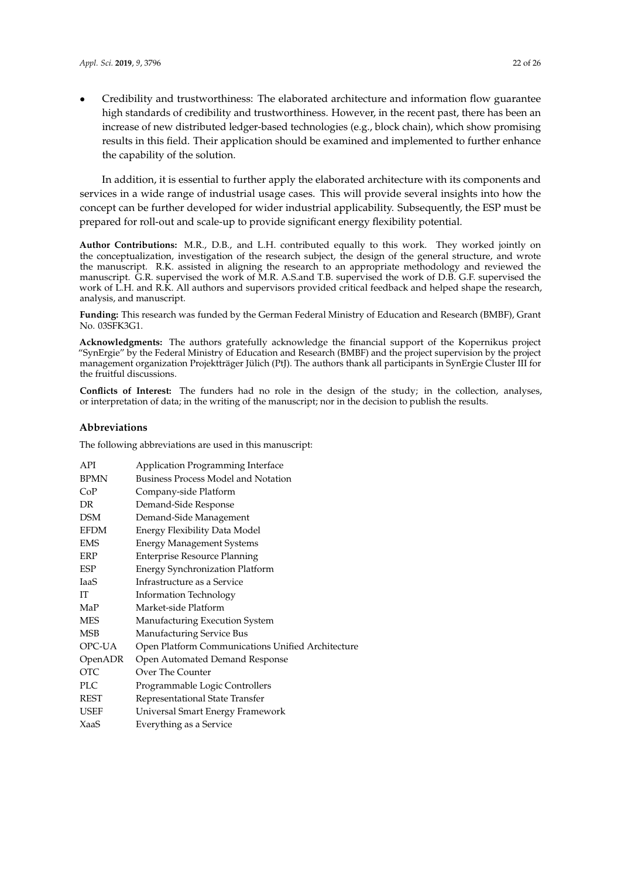• Credibility and trustworthiness: The elaborated architecture and information flow guarantee high standards of credibility and trustworthiness. However, in the recent past, there has been an increase of new distributed ledger-based technologies (e.g., block chain), which show promising results in this field. Their application should be examined and implemented to further enhance the capability of the solution.

In addition, it is essential to further apply the elaborated architecture with its components and services in a wide range of industrial usage cases. This will provide several insights into how the concept can be further developed for wider industrial applicability. Subsequently, the ESP must be prepared for roll-out and scale-up to provide significant energy flexibility potential.

**Author Contributions:** M.R., D.B., and L.H. contributed equally to this work. They worked jointly on the conceptualization, investigation of the research subject, the design of the general structure, and wrote the manuscript. R.K. assisted in aligning the research to an appropriate methodology and reviewed the manuscript. G.R. supervised the work of M.R. A.S.and T.B. supervised the work of D.B. G.F. supervised the work of L.H. and R.K. All authors and supervisors provided critical feedback and helped shape the research, analysis, and manuscript.

**Funding:** This research was funded by the German Federal Ministry of Education and Research (BMBF), Grant No. 03SFK3G1.

**Acknowledgments:** The authors gratefully acknowledge the financial support of the Kopernikus project "SynErgie" by the Federal Ministry of Education and Research (BMBF) and the project supervision by the project management organization Projektträger Jülich (PtJ). The authors thank all participants in SynErgie Cluster III for the fruitful discussions.

**Conflicts of Interest:** The funders had no role in the design of the study; in the collection, analyses, or interpretation of data; in the writing of the manuscript; nor in the decision to publish the results.

#### **Abbreviations**

The following abbreviations are used in this manuscript:

| API         | <b>Application Programming Interface</b>          |
|-------------|---------------------------------------------------|
| BPMN        | Business Process Model and Notation               |
| CoP         | Company-side Platform                             |
| DR          | Demand-Side Response                              |
| DSM         | Demand-Side Management                            |
| <b>EFDM</b> | Energy Flexibility Data Model                     |
| EMS         | <b>Energy Management Systems</b>                  |
| ERP         | <b>Enterprise Resource Planning</b>               |
| ESP         | <b>Energy Synchronization Platform</b>            |
| IaaS        | Infrastructure as a Service                       |
| IΤ          | <b>Information Technology</b>                     |
| MaP         | Market-side Platform                              |
| MES         | Manufacturing Execution System                    |
| MSB         | <b>Manufacturing Service Bus</b>                  |
| OPC-UA      | Open Platform Communications Unified Architecture |
| OpenADR     | Open Automated Demand Response                    |
| OTC         | Over The Counter                                  |
| PLC         | Programmable Logic Controllers                    |
| REST        | Representational State Transfer                   |
| USEF        | Universal Smart Energy Framework                  |
| XaaS        | Everything as a Service                           |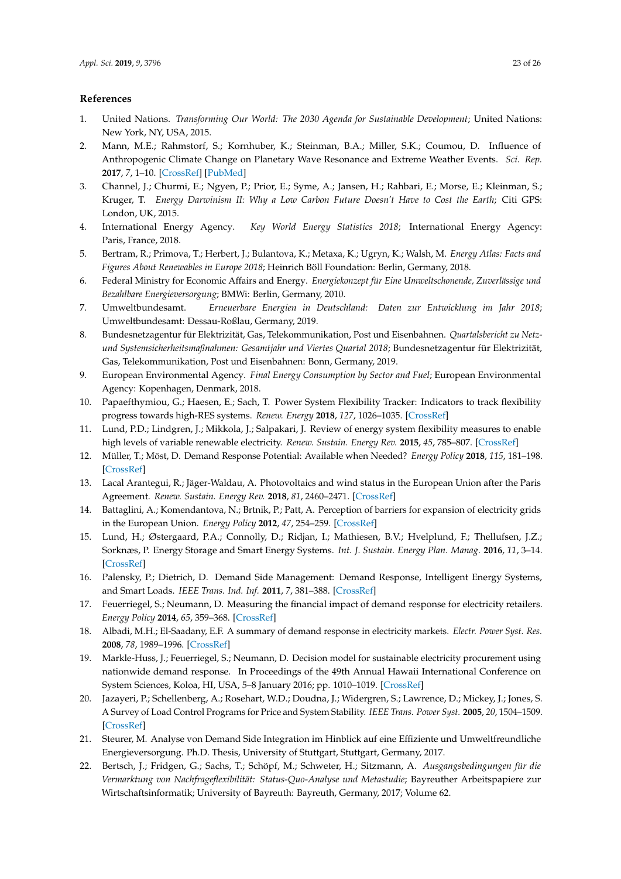# **References**

- <span id="page-22-0"></span>1. United Nations. *Transforming Our World: The 2030 Agenda for Sustainable Development*; United Nations: New York, NY, USA, 2015.
- <span id="page-22-1"></span>2. Mann, M.E.; Rahmstorf, S.; Kornhuber, K.; Steinman, B.A.; Miller, S.K.; Coumou, D. Influence of Anthropogenic Climate Change on Planetary Wave Resonance and Extreme Weather Events. *Sci. Rep.* **2017**, *7*, 1–10. [\[CrossRef\]](http://dx.doi.org/10.1038/srep45242) [\[PubMed\]](http://www.ncbi.nlm.nih.gov/pubmed/28345645)
- <span id="page-22-2"></span>3. Channel, J.; Churmi, E.; Ngyen, P.; Prior, E.; Syme, A.; Jansen, H.; Rahbari, E.; Morse, E.; Kleinman, S.; Kruger, T. *Energy Darwinism II: Why a Low Carbon Future Doesn't Have to Cost the Earth*; Citi GPS: London, UK, 2015.
- <span id="page-22-3"></span>4. International Energy Agency. *Key World Energy Statistics 2018*; International Energy Agency: Paris, France, 2018.
- <span id="page-22-4"></span>5. Bertram, R.; Primova, T.; Herbert, J.; Bulantova, K.; Metaxa, K.; Ugryn, K.; Walsh, M. *Energy Atlas: Facts and Figures About Renewables in Europe 2018*; Heinrich Böll Foundation: Berlin, Germany, 2018.
- <span id="page-22-5"></span>6. Federal Ministry for Economic Affairs and Energy. *Energiekonzept für Eine Umweltschonende, Zuverlässige und Bezahlbare Energieversorgung*; BMWi: Berlin, Germany, 2010.
- <span id="page-22-6"></span>7. Umweltbundesamt. *Erneuerbare Energien in Deutschland: Daten zur Entwicklung im Jahr 2018*; Umweltbundesamt: Dessau-Roßlau, Germany, 2019.
- <span id="page-22-7"></span>8. Bundesnetzagentur für Elektrizität, Gas, Telekommunikation, Post und Eisenbahnen. *Quartalsbericht zu Netzund Systemsicherheitsmaßnahmen: Gesamtjahr und Viertes Quartal 2018*; Bundesnetzagentur für Elektrizität, Gas, Telekommunikation, Post und Eisenbahnen: Bonn, Germany, 2019.
- <span id="page-22-8"></span>9. European Environmental Agency. *Final Energy Consumption by Sector and Fuel*; European Environmental Agency: Kopenhagen, Denmark, 2018.
- <span id="page-22-9"></span>10. Papaefthymiou, G.; Haesen, E.; Sach, T. Power System Flexibility Tracker: Indicators to track flexibility progress towards high-RES systems. *Renew. Energy* **2018**, *127*, 1026–1035. [\[CrossRef\]](http://dx.doi.org/10.1016/j.renene.2018.04.094)
- <span id="page-22-10"></span>11. Lund, P.D.; Lindgren, J.; Mikkola, J.; Salpakari, J. Review of energy system flexibility measures to enable high levels of variable renewable electricity. *Renew. Sustain. Energy Rev.* **2015**, *45*, 785–807. [\[CrossRef\]](http://dx.doi.org/10.1016/j.rser.2015.01.057)
- <span id="page-22-11"></span>12. Müller, T.; Möst, D. Demand Response Potential: Available when Needed? *Energy Policy* **2018**, *115*, 181–198. [\[CrossRef\]](http://dx.doi.org/10.1016/j.enpol.2017.12.025)
- <span id="page-22-12"></span>13. Lacal Arantegui, R.; Jäger-Waldau, A. Photovoltaics and wind status in the European Union after the Paris Agreement. *Renew. Sustain. Energy Rev.* **2018**, *81*, 2460–2471. [\[CrossRef\]](http://dx.doi.org/10.1016/j.rser.2017.06.052)
- <span id="page-22-13"></span>14. Battaglini, A.; Komendantova, N.; Brtnik, P.; Patt, A. Perception of barriers for expansion of electricity grids in the European Union. *Energy Policy* **2012**, *47*, 254–259. [\[CrossRef\]](http://dx.doi.org/10.1016/j.enpol.2012.04.065)
- <span id="page-22-14"></span>15. Lund, H.; Østergaard, P.A.; Connolly, D.; Ridjan, I.; Mathiesen, B.V.; Hvelplund, F.; Thellufsen, J.Z.; Sorknæs, P. Energy Storage and Smart Energy Systems. *Int. J. Sustain. Energy Plan. Manag.* **2016**, *11*, 3–14. [\[CrossRef\]](http://dx.doi.org/10.5278/IJSEPM.2016.11.2)
- <span id="page-22-15"></span>16. Palensky, P.; Dietrich, D. Demand Side Management: Demand Response, Intelligent Energy Systems, and Smart Loads. *IEEE Trans. Ind. Inf.* **2011**, *7*, 381–388. [\[CrossRef\]](http://dx.doi.org/10.1109/TII.2011.2158841)
- <span id="page-22-16"></span>17. Feuerriegel, S.; Neumann, D. Measuring the financial impact of demand response for electricity retailers. *Energy Policy* **2014**, *65*, 359–368. [\[CrossRef\]](http://dx.doi.org/10.1016/j.enpol.2013.10.012)
- <span id="page-22-17"></span>18. Albadi, M.H.; El-Saadany, E.F. A summary of demand response in electricity markets. *Electr. Power Syst. Res.* **2008**, *78*, 1989–1996. [\[CrossRef\]](http://dx.doi.org/10.1016/j.epsr.2008.04.002)
- <span id="page-22-18"></span>19. Markle-Huss, J.; Feuerriegel, S.; Neumann, D. Decision model for sustainable electricity procurement using nationwide demand response. In Proceedings of the 49th Annual Hawaii International Conference on System Sciences, Koloa, HI, USA, 5–8 January 2016; pp. 1010–1019. [\[CrossRef\]](http://dx.doi.org/10.1109/HICSS.2016.130)
- <span id="page-22-19"></span>20. Jazayeri, P.; Schellenberg, A.; Rosehart, W.D.; Doudna, J.; Widergren, S.; Lawrence, D.; Mickey, J.; Jones, S. A Survey of Load Control Programs for Price and System Stability. *IEEE Trans. Power Syst.* **2005**, *20*, 1504–1509. [\[CrossRef\]](http://dx.doi.org/10.1109/TPWRS.2005.852147)
- <span id="page-22-20"></span>21. Steurer, M. Analyse von Demand Side Integration im Hinblick auf eine Effiziente und Umweltfreundliche Energieversorgung. Ph.D. Thesis, University of Stuttgart, Stuttgart, Germany, 2017.
- <span id="page-22-21"></span>22. Bertsch, J.; Fridgen, G.; Sachs, T.; Schöpf, M.; Schweter, H.; Sitzmann, A. *Ausgangsbedingungen für die Vermarktung von Nachfrageflexibilität: Status-Quo-Analyse und Metastudie*; Bayreuther Arbeitspapiere zur Wirtschaftsinformatik; University of Bayreuth: Bayreuth, Germany, 2017; Volume 62.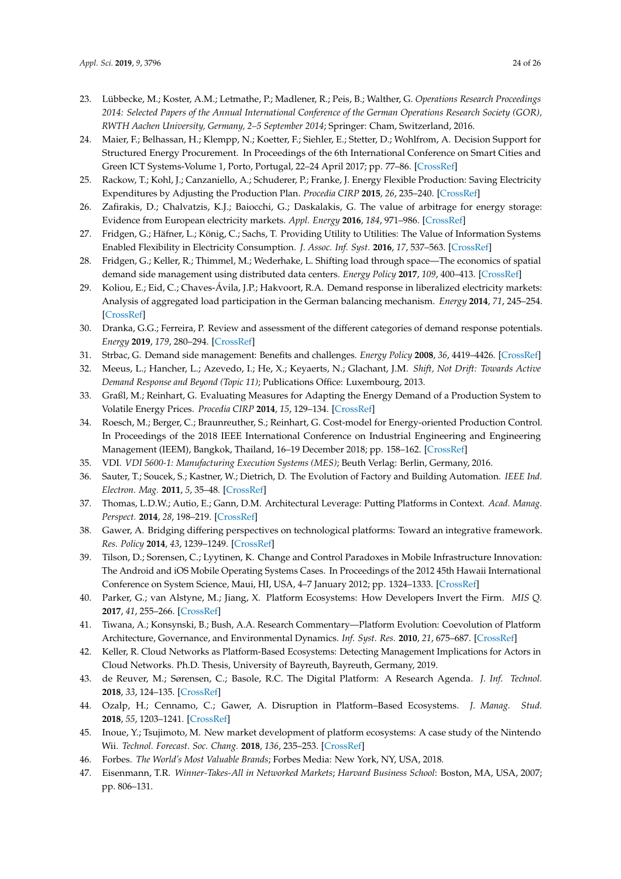- <span id="page-23-0"></span>23. Lübbecke, M.; Koster, A.M.; Letmathe, P.; Madlener, R.; Peis, B.; Walther, G. *Operations Research Proceedings 2014: Selected Papers of the Annual International Conference of the German Operations Research Society (GOR), RWTH Aachen University, Germany, 2–5 September 2014*; Springer: Cham, Switzerland, 2016.
- <span id="page-23-1"></span>24. Maier, F.; Belhassan, H.; Klempp, N.; Koetter, F.; Siehler, E.; Stetter, D.; Wohlfrom, A. Decision Support for Structured Energy Procurement. In Proceedings of the 6th International Conference on Smart Cities and Green ICT Systems-Volume 1, Porto, Portugal, 22–24 April 2017; pp. 77–86. [\[CrossRef\]](http://dx.doi.org/10.5220/0006361500770086)
- <span id="page-23-2"></span>25. Rackow, T.; Kohl, J.; Canzaniello, A.; Schuderer, P.; Franke, J. Energy Flexible Production: Saving Electricity Expenditures by Adjusting the Production Plan. *Procedia CIRP* **2015**, *26*, 235–240. [\[CrossRef\]](http://dx.doi.org/10.1016/j.procir.2014.07.179)
- <span id="page-23-3"></span>26. Zafirakis, D.; Chalvatzis, K.J.; Baiocchi, G.; Daskalakis, G. The value of arbitrage for energy storage: Evidence from European electricity markets. *Appl. Energy* **2016**, *184*, 971–986. [\[CrossRef\]](http://dx.doi.org/10.1016/j.apenergy.2016.05.047)
- <span id="page-23-4"></span>27. Fridgen, G.; Häfner, L.; König, C.; Sachs, T. Providing Utility to Utilities: The Value of Information Systems Enabled Flexibility in Electricity Consumption. *J. Assoc. Inf. Syst.* **2016**, *17*, 537–563. [\[CrossRef\]](http://dx.doi.org/10.17705/1jais.00434)
- <span id="page-23-5"></span>28. Fridgen, G.; Keller, R.; Thimmel, M.; Wederhake, L. Shifting load through space—The economics of spatial demand side management using distributed data centers. *Energy Policy* **2017**, *109*, 400–413. [\[CrossRef\]](http://dx.doi.org/10.1016/j.enpol.2017.07.018)
- <span id="page-23-6"></span>29. Koliou, E.; Eid, C.; Chaves-Ávila, J.P.; Hakvoort, R.A. Demand response in liberalized electricity markets: Analysis of aggregated load participation in the German balancing mechanism. *Energy* **2014**, *71*, 245–254. [\[CrossRef\]](http://dx.doi.org/10.1016/j.energy.2014.04.067)
- <span id="page-23-7"></span>30. Dranka, G.G.; Ferreira, P. Review and assessment of the different categories of demand response potentials. *Energy* **2019**, *179*, 280–294. [\[CrossRef\]](http://dx.doi.org/10.1016/j.energy.2019.05.009)
- <span id="page-23-8"></span>31. Strbac, G. Demand side management: Benefits and challenges. *Energy Policy* **2008**, *36*, 4419–4426. [\[CrossRef\]](http://dx.doi.org/10.1016/j.enpol.2008.09.030)
- <span id="page-23-9"></span>32. Meeus, L.; Hancher, L.; Azevedo, I.; He, X.; Keyaerts, N.; Glachant, J.M. *Shift, Not Drift: Towards Active Demand Response and Beyond (Topic 11)*; Publications Office: Luxembourg, 2013.
- <span id="page-23-10"></span>33. Graßl, M.; Reinhart, G. Evaluating Measures for Adapting the Energy Demand of a Production System to Volatile Energy Prices. *Procedia CIRP* **2014**, *15*, 129–134. [\[CrossRef\]](http://dx.doi.org/10.1016/j.procir.2014.06.081)
- <span id="page-23-11"></span>34. Roesch, M.; Berger, C.; Braunreuther, S.; Reinhart, G. Cost-model for Energy-oriented Production Control. In Proceedings of the 2018 IEEE International Conference on Industrial Engineering and Engineering Management (IEEM), Bangkok, Thailand, 16–19 December 2018; pp. 158–162. [\[CrossRef\]](http://dx.doi.org/10.1109/IEEM.2018.8607305)
- <span id="page-23-12"></span>35. VDI. *VDI 5600-1: Manufacturing Execution Systems (MES)*; Beuth Verlag: Berlin, Germany, 2016.
- <span id="page-23-13"></span>36. Sauter, T.; Soucek, S.; Kastner, W.; Dietrich, D. The Evolution of Factory and Building Automation. *IEEE Ind. Electron. Mag.* **2011**, *5*, 35–48. [\[CrossRef\]](http://dx.doi.org/10.1109/MIE.2011.942175)
- <span id="page-23-14"></span>37. Thomas, L.D.W.; Autio, E.; Gann, D.M. Architectural Leverage: Putting Platforms in Context. *Acad. Manag. Perspect.* **2014**, *28*, 198–219. [\[CrossRef\]](http://dx.doi.org/10.5465/amp.2011.0105)
- <span id="page-23-15"></span>38. Gawer, A. Bridging differing perspectives on technological platforms: Toward an integrative framework. *Res. Policy* **2014**, *43*, 1239–1249. [\[CrossRef\]](http://dx.doi.org/10.1016/j.respol.2014.03.006)
- <span id="page-23-16"></span>39. Tilson, D.; Sorensen, C.; Lyytinen, K. Change and Control Paradoxes in Mobile Infrastructure Innovation: The Android and iOS Mobile Operating Systems Cases. In Proceedings of the 2012 45th Hawaii International Conference on System Science, Maui, HI, USA, 4–7 January 2012; pp. 1324–1333. [\[CrossRef\]](http://dx.doi.org/10.1109/HICSS.2012.149)
- <span id="page-23-17"></span>40. Parker, G.; van Alstyne, M.; Jiang, X. Platform Ecosystems: How Developers Invert the Firm. *MIS Q.* **2017**, *41*, 255–266. [\[CrossRef\]](http://dx.doi.org/10.25300/MISQ/2017/41.1.13)
- <span id="page-23-18"></span>41. Tiwana, A.; Konsynski, B.; Bush, A.A. Research Commentary—Platform Evolution: Coevolution of Platform Architecture, Governance, and Environmental Dynamics. *Inf. Syst. Res.* **2010**, *21*, 675–687. [\[CrossRef\]](http://dx.doi.org/10.1287/isre.1100.0323)
- <span id="page-23-19"></span>42. Keller, R. Cloud Networks as Platform-Based Ecosystems: Detecting Management Implications for Actors in Cloud Networks. Ph.D. Thesis, University of Bayreuth, Bayreuth, Germany, 2019.
- <span id="page-23-20"></span>43. de Reuver, M.; Sørensen, C.; Basole, R.C. The Digital Platform: A Research Agenda. *J. Inf. Technol.* **2018**, *33*, 124–135. [\[CrossRef\]](http://dx.doi.org/10.1057/s41265-016-0033-3)
- <span id="page-23-21"></span>44. Ozalp, H.; Cennamo, C.; Gawer, A. Disruption in Platform–Based Ecosystems. *J. Manag. Stud.* **2018**, *55*, 1203–1241. [\[CrossRef\]](http://dx.doi.org/10.1111/joms.12351)
- <span id="page-23-22"></span>45. Inoue, Y.; Tsujimoto, M. New market development of platform ecosystems: A case study of the Nintendo Wii. *Technol. Forecast. Soc. Chang.* **2018**, *136*, 235–253. [\[CrossRef\]](http://dx.doi.org/10.1016/j.techfore.2017.01.017)
- <span id="page-23-23"></span>46. Forbes. *The World's Most Valuable Brands*; Forbes Media: New York, NY, USA, 2018.
- <span id="page-23-24"></span>47. Eisenmann, T.R. *Winner-Takes-All in Networked Markets*; *Harvard Business School*: Boston, MA, USA, 2007; pp. 806–131.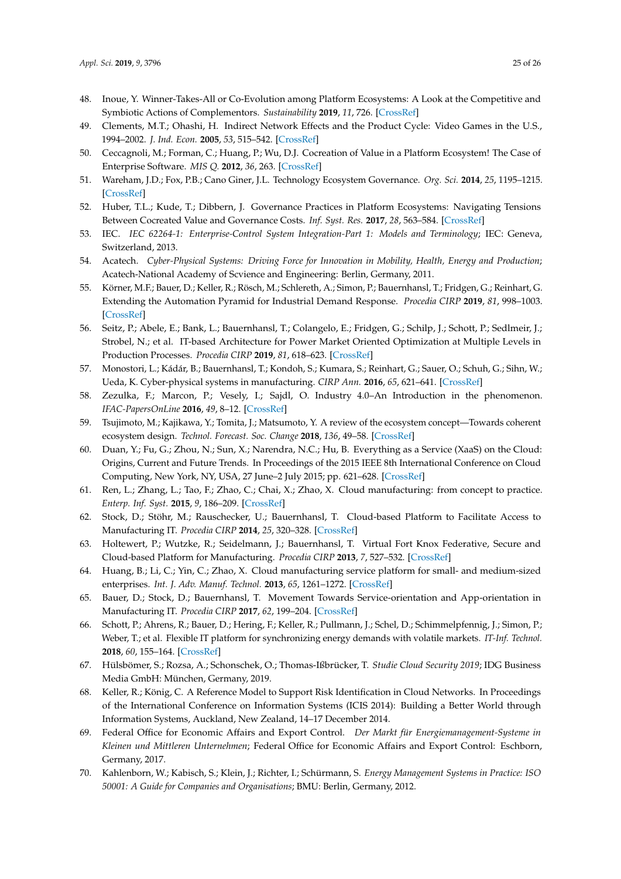- <span id="page-24-0"></span>48. Inoue, Y. Winner-Takes-All or Co-Evolution among Platform Ecosystems: A Look at the Competitive and Symbiotic Actions of Complementors. *Sustainability* **2019**, *11*, 726. [\[CrossRef\]](http://dx.doi.org/10.3390/su11030726)
- <span id="page-24-1"></span>49. Clements, M.T.; Ohashi, H. Indirect Network Effects and the Product Cycle: Video Games in the U.S., 1994–2002. *J. Ind. Econ.* **2005**, *53*, 515–542. [\[CrossRef\]](http://dx.doi.org/10.1111/j.1467-6451.2005.00268.x)
- <span id="page-24-2"></span>50. Ceccagnoli, M.; Forman, C.; Huang, P.; Wu, D.J. Cocreation of Value in a Platform Ecosystem! The Case of Enterprise Software. *MIS Q.* **2012**, *36*, 263. [\[CrossRef\]](http://dx.doi.org/10.2307/41410417)
- <span id="page-24-3"></span>51. Wareham, J.D.; Fox, P.B.; Cano Giner, J.L. Technology Ecosystem Governance. *Org. Sci.* **2014**, *25*, 1195–1215. [\[CrossRef\]](http://dx.doi.org/10.1287/orsc.2014.0895)
- <span id="page-24-4"></span>52. Huber, T.L.; Kude, T.; Dibbern, J. Governance Practices in Platform Ecosystems: Navigating Tensions Between Cocreated Value and Governance Costs. *Inf. Syst. Res.* **2017**, *28*, 563–584. [\[CrossRef\]](http://dx.doi.org/10.1287/isre.2017.0701)
- <span id="page-24-5"></span>53. IEC. *IEC 62264-1: Enterprise-Control System Integration-Part 1: Models and Terminology*; IEC: Geneva, Switzerland, 2013.
- <span id="page-24-6"></span>54. Acatech. *Cyber-Physical Systems: Driving Force for Innovation in Mobility, Health, Energy and Production*; Acatech-National Academy of Scvience and Engineering: Berlin, Germany, 2011.
- 55. Körner, M.F.; Bauer, D.; Keller, R.; Rösch, M.; Schlereth, A.; Simon, P.; Bauernhansl, T.; Fridgen, G.; Reinhart, G. Extending the Automation Pyramid for Industrial Demand Response. *Procedia CIRP* **2019**, *81*, 998–1003. [\[CrossRef\]](http://dx.doi.org/10.1016/j.procir.2019.03.241)
- <span id="page-24-7"></span>56. Seitz, P.; Abele, E.; Bank, L.; Bauernhansl, T.; Colangelo, E.; Fridgen, G.; Schilp, J.; Schott, P.; Sedlmeir, J.; Strobel, N.; et al. IT-based Architecture for Power Market Oriented Optimization at Multiple Levels in Production Processes. *Procedia CIRP* **2019**, *81*, 618–623. [\[CrossRef\]](http://dx.doi.org/10.1016/j.procir.2019.03.165)
- <span id="page-24-8"></span>57. Monostori, L.; Kádár, B.; Bauernhansl, T.; Kondoh, S.; Kumara, S.; Reinhart, G.; Sauer, O.; Schuh, G.; Sihn, W.; Ueda, K. Cyber-physical systems in manufacturing. *CIRP Ann.* **2016**, *65*, 621–641. [\[CrossRef\]](http://dx.doi.org/10.1016/j.cirp.2016.06.005)
- <span id="page-24-9"></span>58. Zezulka, F.; Marcon, P.; Vesely, I.; Sajdl, O. Industry 4.0–An Introduction in the phenomenon. *IFAC-PapersOnLine* **2016**, *49*, 8–12. [\[CrossRef\]](http://dx.doi.org/10.1016/j.ifacol.2016.12.002)
- <span id="page-24-10"></span>59. Tsujimoto, M.; Kajikawa, Y.; Tomita, J.; Matsumoto, Y. A review of the ecosystem concept—Towards coherent ecosystem design. *Technol. Forecast. Soc. Change* **2018**, *136*, 49–58. [\[CrossRef\]](http://dx.doi.org/10.1016/j.techfore.2017.06.032)
- <span id="page-24-11"></span>60. Duan, Y.; Fu, G.; Zhou, N.; Sun, X.; Narendra, N.C.; Hu, B. Everything as a Service (XaaS) on the Cloud: Origins, Current and Future Trends. In Proceedings of the 2015 IEEE 8th International Conference on Cloud Computing, New York, NY, USA, 27 June–2 July 2015; pp. 621–628. [\[CrossRef\]](http://dx.doi.org/10.1109/CLOUD.2015.88)
- <span id="page-24-12"></span>61. Ren, L.; Zhang, L.; Tao, F.; Zhao, C.; Chai, X.; Zhao, X. Cloud manufacturing: from concept to practice. *Enterp. Inf. Syst.* **2015**, *9*, 186–209. [\[CrossRef\]](http://dx.doi.org/10.1080/17517575.2013.839055)
- <span id="page-24-20"></span>62. Stock, D.; Stöhr, M.; Rauschecker, U.; Bauernhansl, T. Cloud-based Platform to Facilitate Access to Manufacturing IT. *Procedia CIRP* **2014**, *25*, 320–328. [\[CrossRef\]](http://dx.doi.org/10.1016/j.procir.2014.10.045)
- 63. Holtewert, P.; Wutzke, R.; Seidelmann, J.; Bauernhansl, T. Virtual Fort Knox Federative, Secure and Cloud-based Platform for Manufacturing. *Procedia CIRP* **2013**, *7*, 527–532. [\[CrossRef\]](http://dx.doi.org/10.1016/j.procir.2013.06.027)
- <span id="page-24-13"></span>64. Huang, B.; Li, C.; Yin, C.; Zhao, X. Cloud manufacturing service platform for small- and medium-sized enterprises. *Int. J. Adv. Manuf. Technol.* **2013**, *65*, 1261–1272. [\[CrossRef\]](http://dx.doi.org/10.1007/s00170-012-4255-4)
- <span id="page-24-14"></span>65. Bauer, D.; Stock, D.; Bauernhansl, T. Movement Towards Service-orientation and App-orientation in Manufacturing IT. *Procedia CIRP* **2017**, *62*, 199–204. [\[CrossRef\]](http://dx.doi.org/10.1016/j.procir.2016.06.079)
- <span id="page-24-15"></span>66. Schott, P.; Ahrens, R.; Bauer, D.; Hering, F.; Keller, R.; Pullmann, J.; Schel, D.; Schimmelpfennig, J.; Simon, P.; Weber, T.; et al. Flexible IT platform for synchronizing energy demands with volatile markets. *IT-Inf. Technol.* **2018**, *60*, 155–164. [\[CrossRef\]](http://dx.doi.org/10.1515/itit-2018-0001)
- <span id="page-24-16"></span>67. Hülsbömer, S.; Rozsa, A.; Schonschek, O.; Thomas-Ißbrücker, T. *Studie Cloud Security 2019*; IDG Business Media GmbH: München, Germany, 2019.
- <span id="page-24-17"></span>68. Keller, R.; König, C. A Reference Model to Support Risk Identification in Cloud Networks. In Proceedings of the International Conference on Information Systems (ICIS 2014): Building a Better World through Information Systems, Auckland, New Zealand, 14–17 December 2014.
- <span id="page-24-18"></span>69. Federal Office for Economic Affairs and Export Control. *Der Markt für Energiemanagement-Systeme in Kleinen und Mittleren Unternehmen*; Federal Office for Economic Affairs and Export Control: Eschborn, Germany, 2017.
- <span id="page-24-19"></span>70. Kahlenborn, W.; Kabisch, S.; Klein, J.; Richter, I.; Schürmann, S. *Energy Management Systems in Practice: ISO 50001: A Guide for Companies and Organisations*; BMU: Berlin, Germany, 2012.